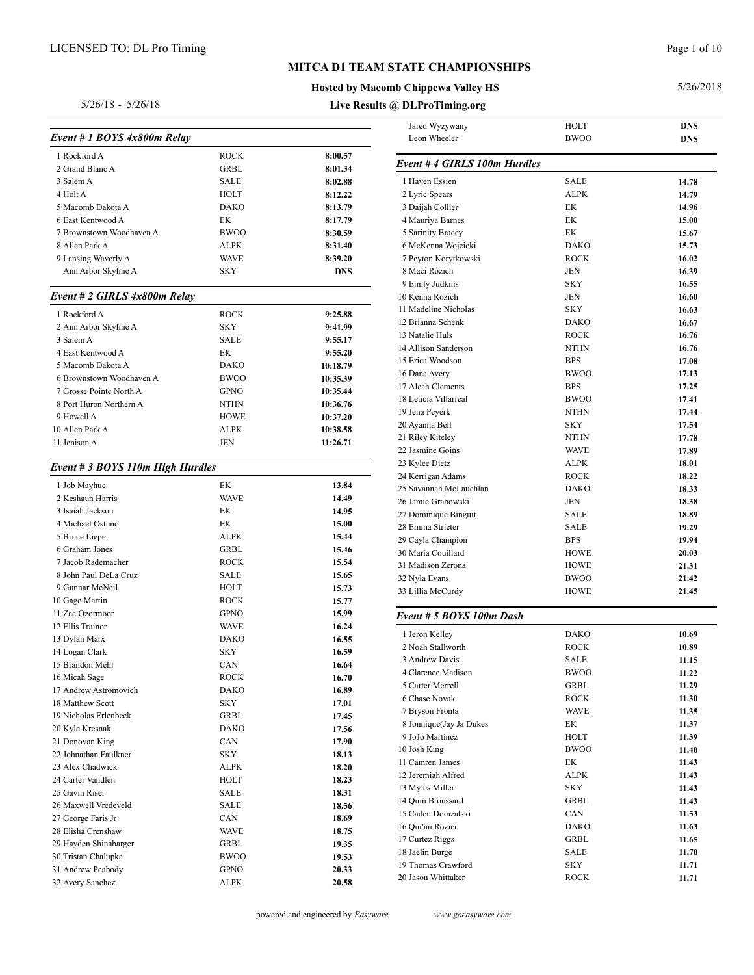# **Hosted by Macomb Chippewa Valley HS**

**Live Results @ DLProTiming.org**

5/26/2018

#### 5/26/18 - 5/26/18

| Event # 1 BOYS 4x800m Relay      |             |                | Jared Wyz<br>Leon Whe      |
|----------------------------------|-------------|----------------|----------------------------|
| 1 Rockford A                     | <b>ROCK</b> | 8:00.57        |                            |
| 2 Grand Blanc A                  | <b>GRBL</b> | 8:01.34        | Event # 4 $\epsilon$       |
| 3 Salem A                        | SALE        | 8:02.88        | 1 Haven Ess                |
| 4 Holt A                         | HOLT        | 8:12.22        | 2 Lyric Spea               |
| 5 Macomb Dakota A                | <b>DAKO</b> | 8:13.79        | 3 Daijah Co                |
| 6 East Kentwood A                | EК          | 8:17.79        | 4 Mauriya E                |
| 7 Brownstown Woodhaven A         | <b>BWOO</b> | 8:30.59        | 5 Sarinity B               |
| 8 Allen Park A                   | ALPK        | 8:31.40        | 6 McKenna                  |
| 9 Lansing Waverly A              | WAVE        | 8:39.20        | 7 Peyton Ko                |
| Ann Arbor Skyline A              | <b>SKY</b>  | DNS            | 8 Maci Rozi                |
| Event # 2 GIRLS 4x800m Relay     |             |                | 9 Emily Jud<br>10 Kenna Ro |
| 1 Rockford A                     | ROCK        | 9:25.88        | 11 Madeline                |
| 2 Ann Arbor Skyline A            | <b>SKY</b>  | 9:41.99        | 12 Brianna S               |
| 3 Salem A                        | <b>SALE</b> | 9:55.17        | 13 Natalie Hi              |
| 4 East Kentwood A                | EK          | 9:55.20        | 14 Allison Sa              |
| 5 Macomb Dakota A                | <b>DAKO</b> | 10:18.79       | 15 Erica Woo               |
| 6 Brownstown Woodhaven A         | <b>BWOO</b> | 10:35.39       | 16 Dana Aver               |
| 7 Grosse Pointe North A          | GPNO        | 10:35.44       | 17 Aleah Cle               |
| 8 Port Huron Northern A          | <b>NTHN</b> | 10:36.76       | 18 Leticia Vi              |
| 9 Howell A                       | HOWE        | 10:37.20       | 19 Jena Peye               |
| 10 Allen Park A                  | ALPK        | 10:38.58       | 20 Ayanna B                |
| 11 Jenison A                     | JEN         | 11:26.71       | 21 Riley Kite              |
|                                  |             |                | 22 Jasmine G               |
| Event # 3 BOYS 110m High Hurdles |             |                | 23 Kylee Die               |
|                                  | EК          |                | 24 Kerrigan /              |
| 1 Job Mayhue<br>2 Keshaun Harris | <b>WAVE</b> | 13.84<br>14.49 | 25 Savannah                |
| 3 Isaiah Jackson                 | EК          | 14.95          | 26 Jamie Gra               |
| 4 Michael Ostuno                 | EK          | 15.00          | 27 Dominiqu                |
| 5 Bruce Liepe                    | ALPK        | 15.44          | 28 Emma Str                |
| 6 Graham Jones                   | GRBL        | 15.46          | 29 Cayla Cha               |
| 7 Jacob Rademacher               | <b>ROCK</b> | 15.54          | 30 Maria Cou               |
| 8 John Paul DeLa Cruz            | SALE        | 15.65          | 31 Madison 2               |
| 9 Gunnar McNeil                  | HOLT        | 15.73          | 32 Nyla Evar               |
| 10 Gage Martin                   | ROCK        | 15.77          | 33 Lillia Mc               |
| 11 Zac Ozormoor                  | GPNO        | 15.99          | Event # $5i$               |
| 12 Ellis Trainor                 | WAVE        | 16.24          |                            |
| 13 Dylan Marx                    | DAKO        | 16.55          | 1 Jeron Kell               |
| 14 Logan Clark                   | SKY         | 16.59          | 2 Noah Stal                |
| 15 Brandon Mehl                  | CAN         | 16.64          | 3 Andrew D                 |
| 16 Micah Sage                    | ROCK        | 16.70          | 4 Clarence l               |
| 17 Andrew Astromovich            | DAKO        | 16.89          | 5 Carter Me                |
| 18 Matthew Scott                 | SKY         | 17.01          | 6 Chase No                 |
| 19 Nicholas Erlenbeck            | GRBL        | 17.45          | 7 Bryson Fr                |
| 20 Kyle Kresnak                  | DAKO        | 17.56          | 8 Jonnique(.               |
| 21 Donovan King                  | CAN         | 17.90          | 9 JoJo Mart                |
| 22 Johnathan Faulkner            | SKY         | 18.13          | 10 Josh King               |
| 23 Alex Chadwick                 | ALPK        | 18.20          | 11 Camren Ja               |
| 24 Carter Vandlen                | HOLT        | 18.23          | 12 Jeremiah                |
| 25 Gavin Riser                   | SALE        | 18.31          | 13 Myles Mi                |
| 26 Maxwell Vredeveld             | SALE        | 18.56          | 14 Quin Brou               |
| 27 George Faris Jr               | CAN         | 18.69          | 15 Caden Do                |
| 28 Elisha Crenshaw               | WAVE        | 18.75          | 16 Qur'an Ro               |
| 29 Hayden Shinabarger            | GRBL        | 19.35          | 17 Curtez Rig              |
| 30 Tristan Chalupka              | <b>BWOO</b> | 19.53          | 18 Jaelin Bur              |
| 31 Andrew Peabody                | GPNO        | 20.33          | 19 Thomas C                |
| 32 Avery Sanchez                 | ALPK        | 20.58          | 20 Jason Whi               |

| Jared Wyzywany               | HOLT        | <b>DNS</b> |
|------------------------------|-------------|------------|
| Leon Wheeler                 | <b>BWOO</b> | <b>DNS</b> |
| Event # 4 GIRLS 100m Hurdles |             |            |
| 1 Haven Essien               | <b>SALE</b> | 14.78      |
| 2 Lyric Spears               | <b>ALPK</b> | 14.79      |
| 3 Daijah Collier             | EК          | 14.96      |
| 4 Mauriya Barnes             | EK          | 15.00      |
| 5 Sarinity Bracey            | EК          | 15.67      |
| 6 McKenna Wojcicki           | <b>DAKO</b> | 15.73      |
| 7 Peyton Korytkowski         | <b>ROCK</b> | 16.02      |
| 8 Maci Rozich                | JEN         | 16.39      |
| 9 Emily Judkins              | <b>SKY</b>  | 16.55      |
| 10 Kenna Rozich              | JEN         | 16.60      |
| 11 Madeline Nicholas         | <b>SKY</b>  | 16.63      |
| 12 Brianna Schenk            | DAKO        | 16.67      |
| 13 Natalie Huls              | <b>ROCK</b> | 16.76      |
| 14 Allison Sanderson         | <b>NTHN</b> | 16.76      |
| 15 Erica Woodson             | <b>BPS</b>  | 17.08      |
| 16 Dana Avery                | <b>BWOO</b> | 17.13      |
| 17 Aleah Clements            | <b>BPS</b>  | 17.25      |
| 18 Leticia Villarreal        | <b>BWOO</b> | 17.41      |
| 19 Jena Peyerk               | <b>NTHN</b> | 17.44      |
| 20 Ayanna Bell               | <b>SKY</b>  | 17.54      |
| 21 Riley Kiteley             | <b>NTHN</b> | 17.78      |
| 22 Jasmine Goins             | <b>WAVE</b> | 17.89      |
| 23 Kylee Dietz               | ALPK        | 18.01      |
| 24 Kerrigan Adams            | <b>ROCK</b> | 18.22      |
| 25 Savannah McLauchlan       | DAKO        | 18.33      |
| 26 Jamie Grabowski           | JEN         | 18.38      |
| 27 Dominique Binguit         | SALE        | 18.89      |
| 28 Emma Strieter             | SALE        | 19.29      |
| 29 Cayla Champion            | <b>BPS</b>  | 19.94      |
| 30 Maria Couillard           | HOWE        | 20.03      |
| 31 Madison Zerona            | HOWE        | 21.31      |
| 32 Nyla Evans                | <b>BWOO</b> | 21.42      |
| 33 Lillia McCurdy            | HOWE        | 21.45      |
|                              |             |            |
| Event # 5 BOYS 100m Dash     |             |            |
| 1 Jeron Kelley               | DAKO        | 10.69      |
| 2 Noah Stallworth            | ROCK        | 10.89      |
| 3 Andrew Davis               | <b>SALE</b> | 11.15      |
| 4 Clarence Madison           | <b>BWOO</b> | 11.22      |
| 5 Carter Merrell             | GRBL        | 11.29      |
| 6 Chase Novak                | <b>ROCK</b> | 11.30      |
| 7 Bryson Fronta              | <b>WAVE</b> | 11.35      |
| 8 Jonnique(Jay Ja Dukes      | EК          | 11.37      |
| 9 JoJo Martinez              | HOLT        | 11.39      |
| 10 Josh King                 | <b>BWOO</b> | 11.40      |
| 11 Camren James              | EК          | 11.43      |
| 12 Jeremiah Alfred           | <b>ALPK</b> | 11.43      |
| 13 Myles Miller              | SKY         | 11.43      |
| 14 Quin Broussard            | GRBL        | 11.43      |
| 15 Caden Domzalski           | CAN         | 11.53      |
| 16 Our'an Rozier             | <b>DAKO</b> | 11.63      |
| 17 Curtez Riggs              | GRBL        | 11.65      |
| 18 Jaelin Burge              | SALE        | 11.70      |
| 19 Thomas Crawford           | SKY         | 11.71      |
| 20 Jason Whittaker           | <b>ROCK</b> | 11.71      |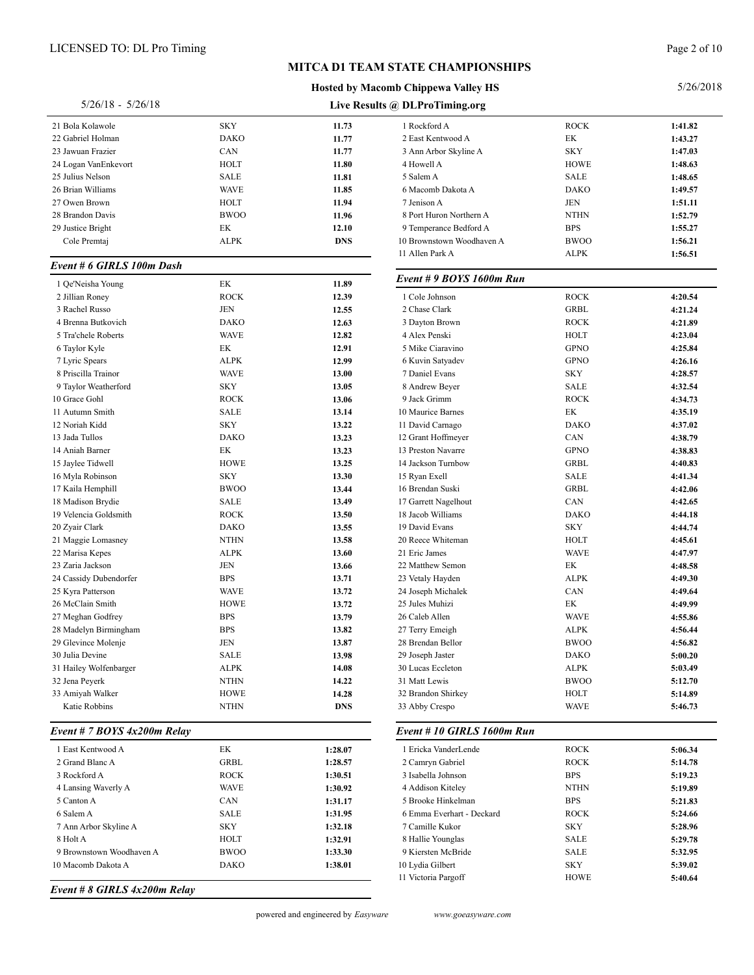#### Page 2 of 10

#### **Live Results @ DLProTiming.org Hosted by Macomb Chippewa Valley HS** 5/26/18 - 5/26/18 Bola Kolawole SKY **11.73** 22 Gabriel Holman **11.77**<br>23 Jawuan Frazier **11.77**<br>23 Jawuan Frazier **11.77**  Jawuan Frazier CAN **11.77** Logan VanEnkevort HOLT **11.80** Julius Nelson SALE **11.81** Brian Williams WAVE **11.85** Owen Brown HOLT **11.94** Brandon Davis BWOO **11.96** Justice Bright EK **12.10** Rockford A ROCK **1:41.82**

#### *Event # 6 GIRLS 100m Dash*

| 1 Qe'Neisha Young      | EK          | 11.89      | $E$ veni + $\lambda$ 1 |
|------------------------|-------------|------------|------------------------|
| 2 Jillian Roney        | <b>ROCK</b> | 12.39      | 1 Cole John            |
| 3 Rachel Russo         | <b>JEN</b>  | 12.55      | 2 Chase Cla            |
| 4 Brenna Butkovich     | <b>DAKO</b> | 12.63      | 3 Dayton Bı            |
| 5 Tra'chele Roberts    | <b>WAVE</b> | 12.82      | 4 Alex Pens            |
| 6 Taylor Kyle          | EK          | 12.91      | 5 Mike Ciar            |
| 7 Lyric Spears         | <b>ALPK</b> | 12.99      | 6 Kuvin Sat            |
| 8 Priscilla Trainor    | <b>WAVE</b> | 13.00      | 7 Daniel Ev            |
| 9 Taylor Weatherford   | <b>SKY</b>  | 13.05      | 8 Andrew B             |
| 10 Grace Gohl          | <b>ROCK</b> | 13.06      | 9 Jack Grim            |
| 11 Autumn Smith        | <b>SALE</b> | 13.14      | 10 Maurice E           |
| 12 Noriah Kidd         | <b>SKY</b>  | 13.22      | 11 David Car           |
| 13 Jada Tullos         | <b>DAKO</b> | 13.23      | 12 Grant Hof           |
| 14 Aniah Barner        | EK          | 13.23      | 13 Preston N           |
| 15 Jaylee Tidwell      | <b>HOWE</b> | 13.25      | 14 Jackson T           |
| 16 Myla Robinson       | <b>SKY</b>  | 13.30      | 15 Ryan Exel           |
| 17 Kaila Hemphill      | <b>BWOO</b> | 13.44      | 16 Brendan S           |
| 18 Madison Brydie      | <b>SALE</b> | 13.49      | 17 Garrett Na          |
| 19 Velencia Goldsmith  | <b>ROCK</b> | 13.50      | 18 Jacob Wil           |
| 20 Zyair Clark         | <b>DAKO</b> | 13.55      | 19 David Eva           |
| 21 Maggie Lomasney     | <b>NTHN</b> | 13.58      | 20 Reece Wh            |
| 22 Marisa Kepes        | <b>ALPK</b> | 13.60      | 21 Eric Jame           |
| 23 Zaria Jackson       | <b>JEN</b>  | 13.66      | 22 Matthew 9           |
| 24 Cassidy Dubendorfer | <b>BPS</b>  | 13.71      | 23 Vetaly Ha           |
| 25 Kyra Patterson      | <b>WAVE</b> | 13.72      | 24 Joseph Mi           |
| 26 McClain Smith       | <b>HOWE</b> | 13.72      | 25 Jules Muh           |
| 27 Meghan Godfrey      | <b>BPS</b>  | 13.79      | 26 Caleb Alle          |
| 28 Madelyn Birmingham  | <b>BPS</b>  | 13.82      | 27 Terry Eme           |
| 29 Glevince Molenje    | <b>JEN</b>  | 13.87      | 28 Brendan E           |
| 30 Julia Devine        | <b>SALE</b> | 13.98      | 29 Joseph Jas          |
| 31 Hailey Wolfenbarger | <b>ALPK</b> | 14.08      | 30 Lucas Ecc           |
| 32 Jena Peyerk         | <b>NTHN</b> | 14.22      | 31 Matt Lewi           |
| 33 Amiyah Walker       | <b>HOWE</b> | 14.28      | 32 Brandon S           |
| Katie Robbins          | <b>NTHN</b> | <b>DNS</b> | 33 Abby Cre:           |
|                        |             |            |                        |

#### *Event # 7 BOYS 4x200m Relay*

| 1 East Kentwood A        | EK          | 1:28.07 | 1 Ericka   |
|--------------------------|-------------|---------|------------|
| 2 Grand Blanc A          | GRBL        | 1:28.57 | 2 Camry    |
| 3 Rockford A             | <b>ROCK</b> | 1:30.51 | 3 Isabella |
| 4 Lansing Waverly A      | <b>WAVE</b> | 1:30.92 | 4 Addiso   |
| 5 Canton A               | <b>CAN</b>  | 1:31.17 | 5 Brooke   |
| 6 Salem A                | SALE        | 1:31.95 | 6 Emma     |
| 7 Ann Arbor Skyline A    | <b>SKY</b>  | 1:32.18 | 7 Camille  |
| 8 Holt A                 | HOLT        | 1:32.91 | 8 Hallie   |
| 9 Brownstown Woodhaven A | <b>BWOO</b> | 1:33.30 | 9 Kierste  |
| 10 Macomb Dakota A       | <b>DAKO</b> | 1:38.01 | 10 Lydia O |
|                          |             |         |            |

*Event # 8 GIRLS 4x200m Relay*

|  | powered and engineered by Easyward |  |
|--|------------------------------------|--|
|  |                                    |  |

| Gabriel Holman                            | <b>DAKO</b>                | 11.77              | 2 East Kentwood A                      | EК                         | 1:43.27            |
|-------------------------------------------|----------------------------|--------------------|----------------------------------------|----------------------------|--------------------|
| Jawuan Frazier                            | CAN                        | 11.77              | 3 Ann Arbor Skyline A                  | <b>SKY</b>                 | 1:47.03            |
| Logan VanEnkevort                         | HOLT                       | 11.80              | 4 Howell A                             | <b>HOWE</b>                | 1:48.63            |
| Julius Nelson                             | <b>SALE</b>                | 11.81              | 5 Salem A                              | <b>SALE</b>                | 1:48.65            |
| <b>Brian Williams</b>                     | <b>WAVE</b>                | 11.85              | 6 Macomb Dakota A                      | <b>DAKO</b>                | 1:49.57            |
| Owen Brown                                | HOLT                       | 11.94              | 7 Jenison A                            | JEN                        | 1:51.11            |
| <b>Brandon Davis</b>                      | <b>BWOO</b>                | 11.96              | 8 Port Huron Northern A                | <b>NTHN</b>                | 1:52.79            |
| Justice Bright                            | EK                         | 12.10              | 9 Temperance Bedford A                 | <b>BPS</b>                 | 1:55.27            |
| Cole Premtaj                              | <b>ALPK</b>                | <b>DNS</b>         | 10 Brownstown Woodhaven A              | <b>BWOO</b>                | 1:56.21            |
| ent # 6 GIRLS 100m Dash                   |                            |                    | 11 Allen Park A                        | <b>ALPK</b>                | 1:56.51            |
|                                           |                            |                    | Event # 9 BOYS 1600m Run               |                            |                    |
| Oe'Neisha Young                           | EK                         | 11.89              | 1 Cole Johnson                         | <b>ROCK</b>                |                    |
| Jillian Roney<br>Rachel Russo             | <b>ROCK</b>                | 12.39              | 2 Chase Clark                          | <b>GRBL</b>                | 4:20.54            |
| Brenna Butkovich                          | JEN                        | 12.55              |                                        |                            | 4:21.24            |
|                                           | <b>DAKO</b>                | 12.63              | 3 Dayton Brown                         | <b>ROCK</b>                | 4:21.89            |
| Tra'chele Roberts                         | <b>WAVE</b>                | 12.82              | 4 Alex Penski                          | HOLT                       | 4:23.04            |
| Taylor Kyle                               | EK                         | 12.91              | 5 Mike Ciaravino                       | <b>GPNO</b>                | 4:25.84            |
| Lyric Spears                              | <b>ALPK</b>                | 12.99              | 6 Kuvin Satyadev                       | <b>GPNO</b>                | 4:26.16            |
| Priscilla Trainor                         | <b>WAVE</b>                | 13.00              | 7 Daniel Evans                         | <b>SKY</b>                 | 4:28.57            |
| Taylor Weatherford                        | <b>SKY</b>                 | 13.05              | 8 Andrew Bever                         | <b>SALE</b>                | 4:32.54            |
| Grace Gohl                                | <b>ROCK</b>                | 13.06              | 9 Jack Grimm                           | <b>ROCK</b>                | 4:34.73            |
| Autumn Smith                              | <b>SALE</b>                | 13.14              | 10 Maurice Barnes                      | EК                         | 4:35.19            |
| Noriah Kidd                               | <b>SKY</b>                 | 13.22              | 11 David Carnago                       | <b>DAKO</b>                | 4:37.02            |
| Jada Tullos                               | <b>DAKO</b><br>EK          | 13.23              | 12 Grant Hoffmeyer                     | CAN<br><b>GPNO</b>         | 4:38.79            |
| Aniah Barner                              |                            | 13.23              | 13 Preston Navarre                     |                            | 4:38.83            |
| Jaylee Tidwell                            | <b>HOWE</b>                | 13.25              | 14 Jackson Turnbow                     | <b>GRBL</b>                | 4:40.83            |
| Myla Robinson                             | <b>SKY</b><br><b>BWOO</b>  | 13.30              | 15 Ryan Exell                          | <b>SALE</b>                | 4:41.34            |
| Kaila Hemphill                            |                            | 13.44              | 16 Brendan Suski                       | <b>GRBL</b>                | 4:42.06            |
| Madison Brydie                            | SALE                       | 13.49              | 17 Garrett Nagelhout                   | CAN                        | 4:42.65            |
| Velencia Goldsmith                        | <b>ROCK</b>                | 13.50              | 18 Jacob Williams                      | <b>DAKO</b>                | 4:44.18            |
| Zyair Clark                               | <b>DAKO</b>                | 13.55              | 19 David Evans                         | <b>SKY</b>                 | 4:44.74            |
| Maggie Lomasney                           | <b>NTHN</b>                | 13.58              | 20 Reece Whiteman                      | HOLT                       | 4:45.61            |
| Marisa Kepes                              | <b>ALPK</b>                | 13.60              | 21 Eric James                          | <b>WAVE</b>                | 4:47.97            |
| Zaria Jackson                             | JEN                        | 13.66              | 22 Matthew Semon                       | EK                         | 4:48.58            |
| Cassidy Dubendorfer                       | <b>BPS</b>                 | 13.71              | 23 Vetaly Hayden                       | <b>ALPK</b>                | 4:49.30            |
| Kyra Patterson<br>McClain Smith           | <b>WAVE</b><br><b>HOWE</b> | 13.72              | 24 Joseph Michalek<br>25 Jules Muhizi  | CAN                        | 4:49.64            |
|                                           |                            | 13.72              |                                        | EК                         | 4:49.99            |
| Meghan Godfrey                            | <b>BPS</b>                 | 13.79              | 26 Caleb Allen                         | <b>WAVE</b>                | 4:55.86            |
| Madelyn Birmingham<br>Glevince Molenje    | <b>BPS</b><br><b>JEN</b>   | 13.82              | 27 Terry Emeigh                        | <b>ALPK</b><br><b>BWOO</b> | 4:56.44            |
| Julia Devine                              | <b>SALE</b>                | 13.87              | 28 Brendan Bellor<br>29 Joseph Jaster  | <b>DAKO</b>                | 4:56.82            |
| Hailey Wolfenbarger                       | <b>ALPK</b>                | 13.98<br>14.08     | 30 Lucas Eccleton                      | <b>ALPK</b>                | 5:00.20<br>5:03.49 |
| Jena Peyerk                               | <b>NTHN</b>                | 14.22              | 31 Matt Lewis                          | <b>BWOO</b>                | 5:12.70            |
| Amiyah Walker                             | <b>HOWE</b>                | 14.28              | 32 Brandon Shirkey                     | HOLT                       | 5:14.89            |
| Katie Robbins                             | <b>NTHN</b>                | <b>DNS</b>         | 33 Abby Crespo                         | <b>WAVE</b>                | 5:46.73            |
|                                           |                            |                    |                                        |                            |                    |
| ent # 7 BOYS 4x200m Relay                 |                            |                    | Event # 10 GIRLS 1600m Run             |                            |                    |
| East Kentwood A                           | EK                         | 1:28.07            | 1 Ericka VanderLende                   | <b>ROCK</b>                | 5:06.34            |
| Grand Blanc A                             | <b>GRBL</b>                | 1:28.57            | 2 Camryn Gabriel                       | <b>ROCK</b>                | 5:14.78            |
| Rockford A                                | <b>ROCK</b>                | 1:30.51            | 3 Isabella Johnson                     | <b>BPS</b>                 | 5:19.23            |
| Lansing Waverly A                         | <b>WAVE</b>                | 1:30.92            | 4 Addison Kiteley                      | <b>NTHN</b>                | 5:19.89            |
|                                           | CAN                        | 1:31.17            | 5 Brooke Hinkelman                     | <b>BPS</b>                 | 5:21.83            |
| Canton A                                  |                            | 1:31.95            | 6 Emma Everhart - Deckard              | <b>ROCK</b>                | 5:24.66            |
| Salem A                                   | SALE                       |                    |                                        |                            |                    |
| Ann Arbor Skyline A                       | <b>SKY</b>                 | 1:32.18            | 7 Camille Kukor                        | <b>SKY</b>                 | 5:28.96            |
| Holt A                                    | HOLT                       | 1:32.91            | 8 Hallie Younglas                      | <b>SALE</b>                | 5:29.78            |
| Brownstown Woodhaven A<br>Macomb Dakota A | <b>BWOO</b><br><b>DAKO</b> | 1:33.30<br>1:38.01 | 9 Kiersten McBride<br>10 Lydia Gilbert | <b>SALE</b><br><b>SKY</b>  | 5:32.95<br>5:39.02 |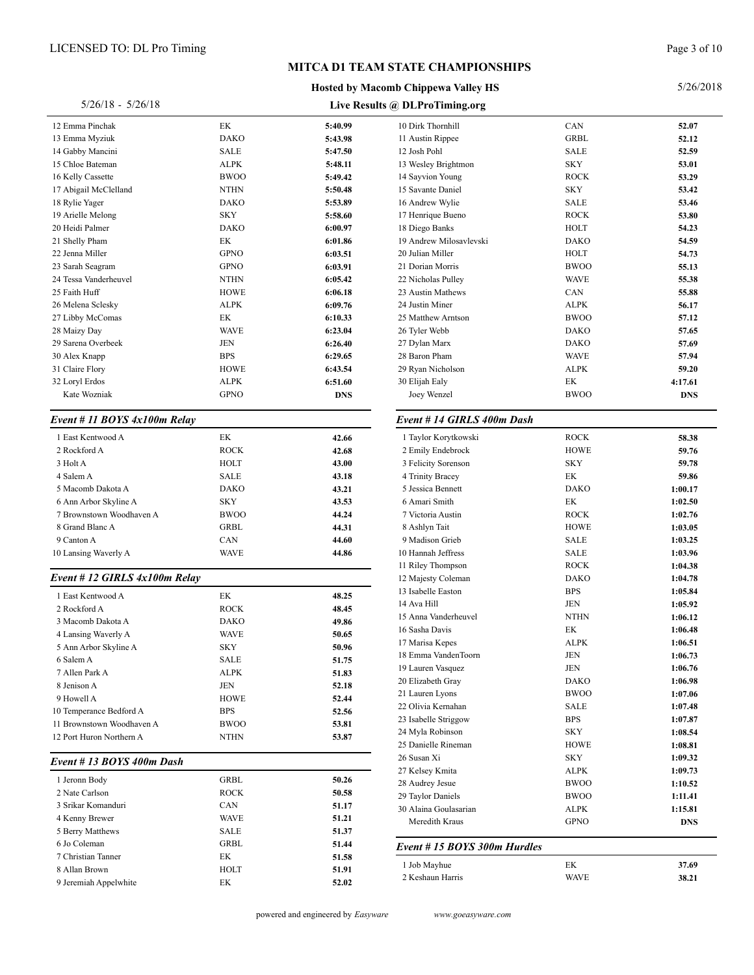#### **MITCA D1 TEAM**

#### **Hosted by Mac**

#### 5/26/18 - 5/26/18

*Event # 11 BOYS 4x100m Relay*

*Event # 12 GIRLS 4x100m Relay*

*Event # 13 BOYS 400m Dash*

| <b>ICENSED TO: DL Pro Timing</b> |             |            |                                            |                    | Page 3 of 10       |
|----------------------------------|-------------|------------|--------------------------------------------|--------------------|--------------------|
|                                  |             |            | <b>MITCA D1 TEAM STATE CHAMPIONSHIPS</b>   |                    |                    |
|                                  |             |            | <b>Hosted by Macomb Chippewa Valley HS</b> |                    | 5/26/2018          |
| $5/26/18 - 5/26/18$              |             |            | Live Results @ DLProTiming.org             |                    |                    |
| 2 Emma Pinchak                   | EK          | 5:40.99    | 10 Dirk Thornhill                          | CAN                | 52.07              |
| 3 Emma Myziuk                    | <b>DAKO</b> | 5:43.98    | 11 Austin Rippee                           | <b>GRBL</b>        | 52.12              |
| 4 Gabby Mancini                  | <b>SALE</b> | 5:47.50    | 12 Josh Pohl                               | <b>SALE</b>        | 52.59              |
| 5 Chloe Bateman                  | <b>ALPK</b> | 5:48.11    | 13 Wesley Brightmon                        | <b>SKY</b>         | 53.01              |
| 6 Kelly Cassette                 | <b>BWOO</b> | 5:49.42    | 14 Sayvion Young                           | <b>ROCK</b>        | 53.29              |
| 7 Abigail McClelland             | <b>NTHN</b> | 5:50.48    | 15 Savante Daniel                          | <b>SKY</b>         | 53.42              |
| 8 Rylie Yager                    | <b>DAKO</b> | 5:53.89    | 16 Andrew Wylie                            | SALE               | 53.46              |
| 9 Arielle Melong                 | <b>SKY</b>  | 5:58.60    | 17 Henrique Bueno                          | <b>ROCK</b>        | 53.80              |
| 0 Heidi Palmer                   | <b>DAKO</b> | 6:00.97    | 18 Diego Banks                             | HOLT               | 54.23              |
| 1 Shelly Pham                    | EK          | 6:01.86    | 19 Andrew Milosavlevski                    | <b>DAKO</b>        | 54.59              |
| 2 Jenna Miller                   | <b>GPNO</b> | 6:03.51    | 20 Julian Miller                           | HOLT               | 54.73              |
| 3 Sarah Seagram                  | <b>GPNO</b> | 6:03.91    | 21 Dorian Morris                           | <b>BWOO</b>        | 55.13              |
| 4 Tessa Vanderheuvel             | <b>NTHN</b> | 6:05.42    | 22 Nicholas Pulley                         | <b>WAVE</b>        | 55.38              |
| 5 Faith Huff                     | <b>HOWE</b> | 6:06.18    | 23 Austin Mathews                          | CAN                | 55.88              |
| 6 Melena Sclesky                 | <b>ALPK</b> | 6:09.76    | 24 Justin Miner                            | <b>ALPK</b>        | 56.17              |
| 7 Libby McComas                  | EK          | 6:10.33    | 25 Matthew Arntson                         | <b>BWOO</b>        | 57.12              |
| 8 Maizy Day                      | <b>WAVE</b> | 6:23.04    | 26 Tyler Webb                              | <b>DAKO</b>        | 57.65              |
| 9 Sarena Overbeek                | <b>JEN</b>  | 6:26.40    | 27 Dylan Marx                              | <b>DAKO</b>        | 57.69              |
| 0 Alex Knapp                     | <b>BPS</b>  | 6:29.65    | 28 Baron Pham                              | <b>WAVE</b>        | 57.94              |
| 1 Claire Flory                   | <b>HOWE</b> | 6:43.54    | 29 Ryan Nicholson                          | <b>ALPK</b>        | 59.20              |
| 2 Loryl Erdos                    | ALPK        | 6:51.60    | 30 Elijah Ealy                             | EК                 | 4:17.61            |
| Kate Wozniak                     | <b>GPNO</b> | <b>DNS</b> | Joey Wenzel                                | <b>BWOO</b>        | <b>DNS</b>         |
| vent # 11 BOYS 4x100m Relay      |             |            | Event # 14 GIRLS 400m Dash                 |                    |                    |
| 1 East Kentwood A                | EK          | 42.66      | 1 Taylor Korytkowski                       | <b>ROCK</b>        | 58.38              |
| 2 Rockford A                     | <b>ROCK</b> | 42.68      | 2 Emily Endebrock                          | <b>HOWE</b>        | 59.76              |
| 3 Holt A                         | HOLT        | 43.00      | 3 Felicity Sorenson                        | <b>SKY</b>         | 59.78              |
| 4 Salem A                        | <b>SALE</b> | 43.18      | 4 Trinity Bracey                           | EК                 | 59.86              |
| 5 Macomb Dakota A                | <b>DAKO</b> | 43.21      | 5 Jessica Bennett                          | <b>DAKO</b>        | 1:00.17            |
| 6 Ann Arbor Skyline A            | <b>SKY</b>  | 43.53      | 6 Amari Smith                              | EК                 | 1:02.50            |
| 7 Brownstown Woodhaven A         | <b>BWOO</b> | 44.24      | 7 Victoria Austin                          | <b>ROCK</b>        | 1:02.76            |
| 8 Grand Blanc A                  | <b>GRBL</b> | 44.31      | 8 Ashlyn Tait                              | <b>HOWE</b>        | 1:03.05            |
| 9 Canton A                       | CAN         | 44.60      | 9 Madison Grieb                            | SALE               | 1:03.25            |
| 0 Lansing Waverly A              | <b>WAVE</b> | 44.86      | 10 Hannah Jeffress                         | SALE               | 1:03.96            |
|                                  |             |            | 11 Riley Thompson                          | <b>ROCK</b>        | 1:04.38            |
| vent # 12 GIRLS 4x100m Relay     |             |            | 12 Majesty Coleman                         | <b>DAKO</b>        | 1:04.78            |
| 1 East Kentwood A                | EK          | 48.25      | 13 Isabelle Easton                         | <b>BPS</b>         | 1:05.84            |
| 2 Rockford A                     | <b>ROCK</b> | 48.45      | 14 Ava Hill                                | <b>JEN</b>         | 1:05.92            |
| 3 Macomb Dakota A                | <b>DAKO</b> | 49.86      | 15 Anna Vanderheuvel                       | <b>NTHN</b>        | 1:06.12            |
| 4 Lansing Waverly A              | <b>WAVE</b> | 50.65      | 16 Sasha Davis                             | EК                 | 1:06.48            |
| 5 Ann Arbor Skyline A            | <b>SKY</b>  | 50.96      | 17 Marisa Kepes                            | <b>ALPK</b>        | 1:06.51            |
| 6 Salem A                        | <b>SALE</b> | 51.75      | 18 Emma VandenToorn                        | JEN                | 1:06.73            |
| 7 Allen Park A                   | <b>ALPK</b> | 51.83      | 19 Lauren Vasquez                          | JEN                | 1:06.76            |
| 8 Jenison A                      | JEN         | 52.18      | 20 Elizabeth Gray                          | <b>DAKO</b>        | 1:06.98            |
| 9 Howell A                       | <b>HOWE</b> | 52.44      | 21 Lauren Lyons                            | <b>BWOO</b>        | 1:07.06            |
| 0 Temperance Bedford A           | <b>BPS</b>  | 52.56      | 22 Olivia Kernahan                         | SALE               | 1:07.48            |
| 1 Brownstown Woodhaven A         | <b>BWOO</b> | 53.81      | 23 Isabelle Striggow                       | <b>BPS</b>         | 1:07.87            |
| 2 Port Huron Northern A          | <b>NTHN</b> | 53.87      | 24 Myla Robinson                           | <b>SKY</b>         | 1:08.54            |
|                                  |             |            | 25 Danielle Rineman                        | <b>HOWE</b>        | 1:08.81            |
| vent # 13 BOYS 400m Dash         |             |            | 26 Susan Xi<br>27 Kelsey Kmita             | SKY<br><b>ALPK</b> | 1:09.32<br>1:09.73 |
| 1 Jeronn Body                    | <b>GRBL</b> | 50.26      | 28 Audrey Jesue                            | <b>BWOO</b>        | 1:10.52            |
| 2 Nate Carlson                   | <b>ROCK</b> | 50.58      | 29 Taylor Daniels                          | <b>BWOO</b>        | 1:11.41            |
| 3 Srikar Komanduri               | CAN         | 51.17      | 30 Alaina Goulasarian                      | <b>ALPK</b>        | 1:15.81            |
| 4 Kenny Brewer                   | <b>WAVE</b> | 51.21      | Meredith Kraus                             | <b>GPNO</b>        | <b>DNS</b>         |
| 5 Berry Matthews                 | <b>SALE</b> | 51.37      |                                            |                    |                    |
| 6 Jo Coleman                     | <b>GRBL</b> | 51.44      | Event # 15 BOYS 300m Hurdles               |                    |                    |
| 7 Christian Tanner               | EK          | 51.58      |                                            |                    |                    |
| 8 Allan Brown                    | HOLT        | 51.91      | 1 Job Mayhue                               | EК                 | 37.69              |
|                                  |             |            | 2 Keshaun Harris                           | <b>WAVE</b>        | 38.21              |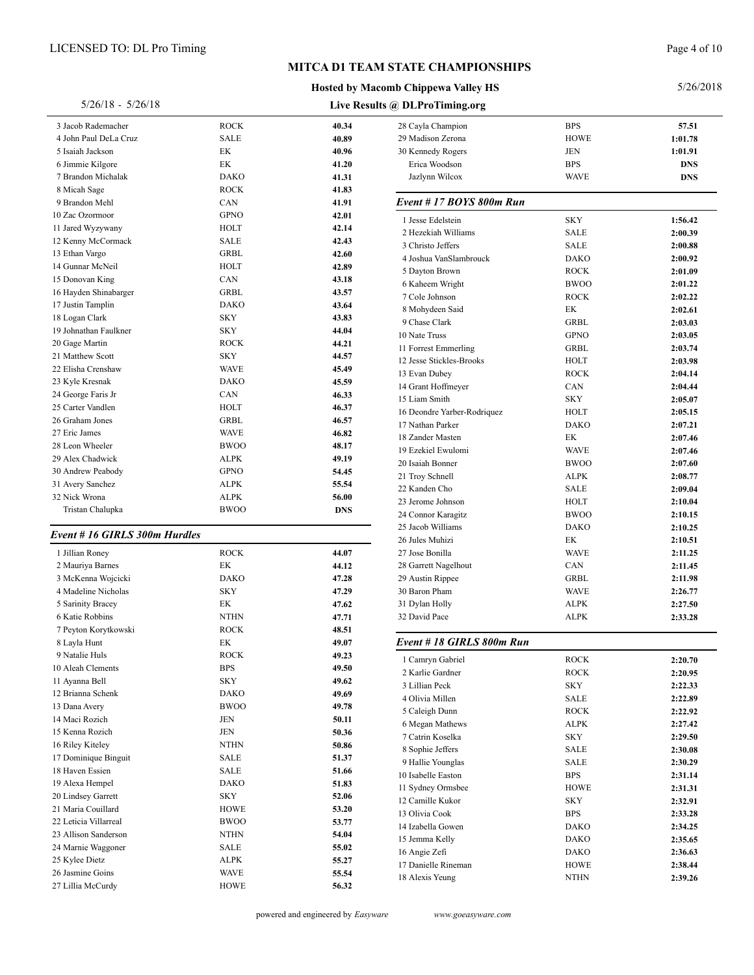#### **Hosted by Macomb Chippewa Valley HS**

Page 4 of 10

| $5/26/18 - 5/26/18$           |             |            | Live Results @ DLProTiming.org |             |            |
|-------------------------------|-------------|------------|--------------------------------|-------------|------------|
| 3 Jacob Rademacher            | <b>ROCK</b> | 40.34      | 28 Cayla Champion              | <b>BPS</b>  | 57.51      |
| 4 John Paul DeLa Cruz         | <b>SALE</b> | 40.89      | 29 Madison Zerona              | <b>HOWE</b> | 1:01.78    |
| 5 Isaiah Jackson              | EK          | 40.96      | 30 Kennedy Rogers              | JEN         | 1:01.91    |
| 6 Jimmie Kilgore              | EK          | 41.20      | Erica Woodson                  | <b>BPS</b>  | <b>DNS</b> |
| 7 Brandon Michalak            | <b>DAKO</b> | 41.31      | Jazlynn Wilcox                 | <b>WAVE</b> | <b>DNS</b> |
| 8 Micah Sage                  | <b>ROCK</b> | 41.83      |                                |             |            |
| 9 Brandon Mehl                | CAN         | 41.91      | Event #17 BOYS 800m Run        |             |            |
| 10 Zac Ozormoor               | <b>GPNO</b> | 42.01      | 1 Jesse Edelstein              | <b>SKY</b>  | 1:56.42    |
| 11 Jared Wyzywany             | <b>HOLT</b> | 42.14      | 2 Hezekiah Williams            | <b>SALE</b> | 2:00.39    |
| 12 Kenny McCormack            | <b>SALE</b> | 42.43      | 3 Christo Jeffers              | <b>SALE</b> | 2:00.88    |
| 13 Ethan Vargo                | <b>GRBL</b> | 42.60      | 4 Joshua VanSlambrouck         | <b>DAKO</b> | 2:00.92    |
| 14 Gunnar McNeil              | HOLT        | 42.89      | 5 Dayton Brown                 | <b>ROCK</b> | 2:01.09    |
| 15 Donovan King               | CAN         | 43.18      |                                | <b>BWOO</b> | 2:01.22    |
| 16 Hayden Shinabarger         | GRBL        | 43.57      | 6 Kaheem Wright                | <b>ROCK</b> |            |
| 17 Justin Tamplin             | <b>DAKO</b> | 43.64      | 7 Cole Johnson                 |             | 2:02.22    |
| 18 Logan Clark                | <b>SKY</b>  | 43.83      | 8 Mohydeen Said                | EK          | 2:02.61    |
| 19 Johnathan Faulkner         | <b>SKY</b>  | 44.04      | 9 Chase Clark                  | <b>GRBL</b> | 2:03.03    |
| 20 Gage Martin                | <b>ROCK</b> | 44.21      | 10 Nate Truss                  | <b>GPNO</b> | 2:03.05    |
| 21 Matthew Scott              | <b>SKY</b>  | 44.57      | 11 Forrest Emmerling           | <b>GRBL</b> | 2:03.74    |
| 22 Elisha Crenshaw            | <b>WAVE</b> | 45.49      | 12 Jesse Stickles-Brooks       | HOLT        | 2:03.98    |
| 23 Kyle Kresnak               | <b>DAKO</b> | 45.59      | 13 Evan Dubey                  | <b>ROCK</b> | 2:04.14    |
| 24 George Faris Jr            | CAN         | 46.33      | 14 Grant Hoffmeyer             | CAN         | 2:04.44    |
| 25 Carter Vandlen             | <b>HOLT</b> | 46.37      | 15 Liam Smith                  | <b>SKY</b>  | 2:05.07    |
| 26 Graham Jones               | <b>GRBL</b> | 46.57      | 16 Deondre Yarber-Rodriquez    | HOLT        | 2:05.15    |
| 27 Eric James                 | <b>WAVE</b> | 46.82      | 17 Nathan Parker               | <b>DAKO</b> | 2:07.21    |
| 28 Leon Wheeler               | <b>BWOO</b> | 48.17      | 18 Zander Masten               | EK          | 2:07.46    |
| 29 Alex Chadwick              | <b>ALPK</b> | 49.19      | 19 Ezekiel Ewulomi             | <b>WAVE</b> | 2:07.46    |
|                               | <b>GPNO</b> |            | 20 Isaiah Bonner               | <b>BWOO</b> | 2:07.60    |
| 30 Andrew Peabody             |             | 54.45      | 21 Troy Schnell                | <b>ALPK</b> | 2:08.77    |
| 31 Avery Sanchez              | <b>ALPK</b> | 55.54      | 22 Kanden Cho                  | <b>SALE</b> | 2:09.04    |
| 32 Nick Wrona                 | <b>ALPK</b> | 56.00      | 23 Jerome Johnson              | <b>HOLT</b> | 2:10.04    |
| Tristan Chalupka              | <b>BWOO</b> | <b>DNS</b> | 24 Connor Karagitz             | <b>BWOO</b> | 2:10.15    |
|                               |             |            | 25 Jacob Williams              | <b>DAKO</b> | 2:10.25    |
| Event # 16 GIRLS 300m Hurdles |             |            | 26 Jules Muhizi                | EK          | 2:10.51    |
| 1 Jillian Roney               | <b>ROCK</b> | 44.07      | 27 Jose Bonilla                | <b>WAVE</b> | 2:11.25    |
| 2 Mauriya Barnes              | EK          | 44.12      | 28 Garrett Nagelhout           | CAN         | 2:11.45    |
| 3 McKenna Wojcicki            | <b>DAKO</b> | 47.28      | 29 Austin Rippee               | <b>GRBL</b> | 2:11.98    |
| 4 Madeline Nicholas           | <b>SKY</b>  | 47.29      | 30 Baron Pham                  | <b>WAVE</b> | 2:26.77    |
| 5 Sarinity Bracey             | EK          | 47.62      | 31 Dylan Holly                 | <b>ALPK</b> | 2:27.50    |
| 6 Katie Robbins               | <b>NTHN</b> | 47.71      | 32 David Pace                  | <b>ALPK</b> | 2:33.28    |
| 7 Peyton Korytkowski          | <b>ROCK</b> | 48.51      |                                |             |            |
| 8 Layla Hunt                  | EK          | 49.07      | Event # 18 GIRLS 800m Run      |             |            |
| 9 Natalie Huls                | <b>ROCK</b> | 49.23      | 1 Camryn Gabriel               | <b>ROCK</b> | 2:20.70    |
| 10 Aleah Clements             | <b>BPS</b>  | 49.50      | 2 Karlie Gardner               | <b>ROCK</b> | 2:20.95    |
| 11 Ayanna Bell                | <b>SKY</b>  | 49.62      | 3 Lillian Peck                 | SKY         | 2:22.33    |
| 12 Brianna Schenk             | <b>DAKO</b> | 49.69      |                                |             |            |
| 13 Dana Avery                 | <b>BWOO</b> | 49.78      | 4 Olivia Millen                | SALE        | 2:22.89    |
| 14 Maci Rozich                | JEN         | 50.11      | 5 Caleigh Dunn                 | <b>ROCK</b> | 2:22.92    |
| 15 Kenna Rozich               | JEN         | 50.36      | 6 Megan Mathews                | <b>ALPK</b> | 2:27.42    |
| 16 Riley Kiteley              | <b>NTHN</b> | 50.86      | 7 Catrin Koselka               | <b>SKY</b>  | 2:29.50    |
| 17 Dominique Binguit          | SALE        | 51.37      | 8 Sophie Jeffers               | SALE        | 2:30.08    |
| 18 Haven Essien               | <b>SALE</b> | 51.66      | 9 Hallie Younglas              | SALE        | 2:30.29    |
| 19 Alexa Hempel               | <b>DAKO</b> | 51.83      | 10 Isabelle Easton             | <b>BPS</b>  | 2:31.14    |
| 20 Lindsey Garrett            | <b>SKY</b>  | 52.06      | 11 Sydney Ormsbee              | <b>HOWE</b> | 2:31.31    |
|                               |             |            | 12 Camille Kukor               | <b>SKY</b>  | 2:32.91    |
| 21 Maria Couillard            | <b>HOWE</b> | 53.20      | 13 Olivia Cook                 | <b>BPS</b>  | 2:33.28    |
| 22 Leticia Villarreal         | <b>BWOO</b> | 53.77      | 14 Izabella Gowen              | <b>DAKO</b> | 2:34.25    |
| 23 Allison Sanderson          | <b>NTHN</b> | 54.04      | 15 Jemma Kelly                 | <b>DAKO</b> | 2:35.65    |
| 24 Marnie Waggoner            | SALE        | 55.02      | 16 Angie Zefi                  | <b>DAKO</b> | 2:36.63    |
| 25 Kylee Dietz                | <b>ALPK</b> | 55.27      | 17 Danielle Rineman            | <b>HOWE</b> | 2:38.44    |
| 26 Jasmine Goins              | <b>WAVE</b> | 55.54      | 18 Alexis Yeung                | <b>NTHN</b> | 2:39.26    |
| 27 Lillia McCurdy             | <b>HOWE</b> | 56.32      |                                |             |            |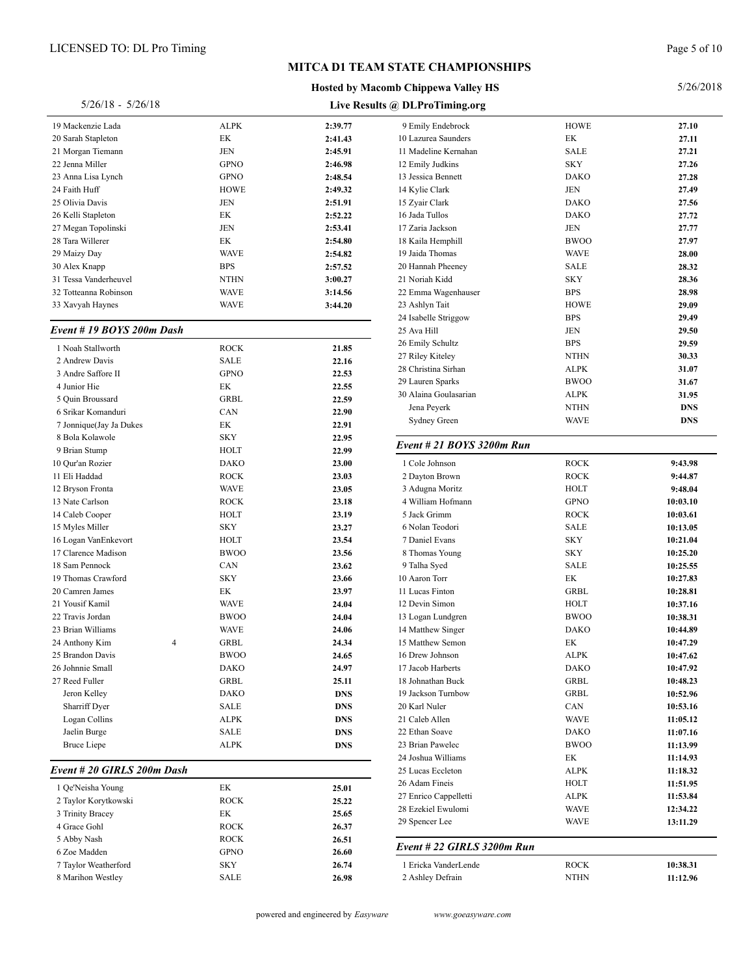#### **Hosted by Macomb Chippewa Valley HS**

#### Page 5 of 10

#### 5/26/2018

| $5/26/18 - 5/26/18$      |             |         | Live Results @ DLPro |  |
|--------------------------|-------------|---------|----------------------|--|
| 19 Mackenzie Lada        | <b>ALPK</b> | 2:39.77 | 9 Emily 1            |  |
| 20 Sarah Stapleton       | EK          | 2:41.43 | 10 Lazurea           |  |
| 21 Morgan Tiemann        | <b>JEN</b>  | 2:45.91 | 11 Madeli            |  |
| 22 Jenna Miller          | <b>GPNO</b> | 2:46.98 | 12 Emily J           |  |
| 23 Anna Lisa Lynch       | <b>GPNO</b> | 2:48.54 | 13 Jessica           |  |
| 24 Faith Huff            | <b>HOWE</b> | 2:49.32 | 14 Kylie C           |  |
| 25 Olivia Davis          | <b>JEN</b>  | 2:51.91 | 15 Zyair C           |  |
| 26 Kelli Stapleton       | EK          | 2:52.22 | 16 Jada Tu           |  |
| 27 Megan Topolinski      | <b>JEN</b>  | 2:53.41 | 17 Zaria Ja          |  |
| 28 Tara Willerer         | EK          | 2:54.80 | 18 Kaila E           |  |
| 29 Maizy Day             | <b>WAVE</b> | 2:54.82 | 19 Jaida T           |  |
| 30 Alex Knapp            | <b>BPS</b>  | 2:57.52 | 20 Hannah            |  |
| 31 Tessa Vanderheuvel    | <b>NTHN</b> | 3:00.27 | 21 Noriah            |  |
| 32 Totteanna Robinson    | <b>WAVE</b> | 3:14.56 | 22 Emma              |  |
| 33 Xavyah Haynes         | WAVE        | 3:44.20 | 23 Ashlyn            |  |
|                          |             |         | 24 Isabelle          |  |
| Event #19 BOYS 200m Dash |             |         | 25 Ava Hi            |  |

| 1 Noah Stallworth       |   | <b>ROCK</b> | 21.85      | 26 Emily Sch  |
|-------------------------|---|-------------|------------|---------------|
| 2 Andrew Davis          |   | <b>SALE</b> | 22.16      | 27 Riley Kite |
| 3 Andre Saffore II      |   | <b>GPNO</b> | 22.53      | 28 Christina  |
| 4 Junior Hie            |   | EK          | 22.55      | 29 Lauren Sp  |
| 5 Quin Broussard        |   | <b>GRBL</b> | 22.59      | 30 Alaina Go  |
| 6 Srikar Komanduri      |   | CAN         | 22.90      | Jena Peye     |
| 7 Jonnique(Jay Ja Dukes |   | EK          | 22.91      | Sydney G      |
| 8 Bola Kolawole         |   | <b>SKY</b>  | 22.95      |               |
| 9 Brian Stump           |   | HOLT        | 22.99      | Event # $21$  |
| 10 Our'an Rozier        |   | <b>DAKO</b> | 23.00      | 1 Cole John   |
| 11 Eli Haddad           |   | <b>ROCK</b> | 23.03      | 2 Dayton Bı   |
| 12 Bryson Fronta        |   | <b>WAVE</b> | 23.05      | 3 Adugna M    |
| 13 Nate Carlson         |   | <b>ROCK</b> | 23.18      | 4 William H   |
| 14 Caleb Cooper         |   | <b>HOLT</b> | 23.19      | 5 Jack Grim   |
| 15 Myles Miller         |   | <b>SKY</b>  | 23.27      | 6 Nolan Tec   |
| 16 Logan VanEnkevort    |   | <b>HOLT</b> | 23.54      | 7 Daniel Ev   |
| 17 Clarence Madison     |   | <b>BWOO</b> | 23.56      | 8 Thomas Y    |
| 18 Sam Pennock          |   | CAN         | 23.62      | 9 Talha Sye   |
| 19 Thomas Crawford      |   | <b>SKY</b>  | 23.66      | 10 Aaron Tor  |
| 20 Camren James         |   | EK          | 23.97      | 11 Lucas Fin  |
| 21 Yousif Kamil         |   | <b>WAVE</b> | 24.04      | 12 Devin Sin  |
| 22 Travis Jordan        |   | <b>BWOO</b> | 24.04      | 13 Logan Lui  |
| 23 Brian Williams       |   | <b>WAVE</b> | 24.06      | 14 Matthew 9  |
| 24 Anthony Kim          | 4 | <b>GRBL</b> | 24.34      | 15 Matthew 9  |
| 25 Brandon Davis        |   | <b>BWOO</b> | 24.65      | 16 Drew Johr  |
| 26 Johnnie Small        |   | <b>DAKO</b> | 24.97      | 17 Jacob Har  |
| 27 Reed Fuller          |   | <b>GRBL</b> | 25.11      | 18 Johnathan  |
| Jeron Kelley            |   | <b>DAKO</b> | <b>DNS</b> | 19 Jackson T  |
| Sharriff Dyer           |   | <b>SALE</b> | <b>DNS</b> | 20 Karl Nule  |
| Logan Collins           |   | <b>ALPK</b> | <b>DNS</b> | 21 Caleb Alle |
| Jaelin Burge            |   | <b>SALE</b> | <b>DNS</b> | 22 Ethan Soa  |
| <b>Bruce Liepe</b>      |   | <b>ALPK</b> | <b>DNS</b> | 23 Brian Paw  |

#### *Event # 20 GIRLS 200m Dash*

| стені <del>н</del> 20 м <b>н. н.</b> 2001 разн |             |       | 29 Lucas i |
|------------------------------------------------|-------------|-------|------------|
| 1 Oe'Neisha Young                              | EK          | 25.01 | 26 Adam I  |
| 2 Taylor Korytkowski                           | <b>ROCK</b> | 25.22 | 27 Enrico  |
| 3 Trinity Bracey                               | EK          | 25.65 | 28 Ezekiel |
| 4 Grace Gohl                                   | <b>ROCK</b> | 26.37 | 29 Spence  |
| 5 Abby Nash                                    | <b>ROCK</b> | 26.51 |            |
| 6 Zoe Madden                                   | <b>GPNO</b> | 26.60 | Event #    |
| 7 Taylor Weatherford                           | <b>SKY</b>  | 26.74 | 1 Ericka   |
| 8 Marihon Westley                              | <b>SALE</b> | 26.98 | 2 Ashley   |
|                                                |             |       |            |

| Live Results @ DLProTiming.org |             |            |
|--------------------------------|-------------|------------|
| 9 Emily Endebrock              | <b>HOWE</b> | 27.10      |
| 10 Lazurea Saunders            | EК          | 27.11      |
| 11 Madeline Kernahan           | <b>SALE</b> | 27.21      |
| 12 Emily Judkins               | <b>SKY</b>  | 27.26      |
| 13 Jessica Bennett             | <b>DAKO</b> | 27.28      |
| 14 Kylie Clark                 | JEN         | 27.49      |
| 15 Zyair Clark                 | <b>DAKO</b> | 27.56      |
| 16 Jada Tullos                 | <b>DAKO</b> | 27.72      |
| 17 Zaria Jackson               | JEN         | 27.77      |
| 18 Kaila Hemphill              | <b>BWOO</b> | 27.97      |
| 19 Jaida Thomas                | <b>WAVE</b> | 28.00      |
| 20 Hannah Pheeney              | <b>SALE</b> | 28.32      |
| 21 Noriah Kidd                 | <b>SKY</b>  | 28.36      |
| 22 Emma Wagenhauser            | <b>BPS</b>  | 28.98      |
| 23 Ashlyn Tait                 | <b>HOWE</b> | 29.09      |
| 24 Isabelle Striggow           | <b>BPS</b>  | 29.49      |
| 25 Ava Hill                    | JEN         | 29.50      |
| 26 Emily Schultz               | <b>BPS</b>  | 29.59      |
| 27 Riley Kiteley               | <b>NTHN</b> | 30.33      |
| 28 Christina Sirhan            | <b>ALPK</b> | 31.07      |
| 29 Lauren Sparks               | <b>BWOO</b> | 31.67      |
| 30 Alaina Goulasarian          | <b>ALPK</b> | 31.95      |
| Jena Peyerk                    | <b>NTHN</b> | <b>DNS</b> |
| Sydney Green                   | WAVE        | <b>DNS</b> |
| Event # 21 BOYS 3200m Run      |             |            |
| 1 Cole Johnson                 | <b>ROCK</b> | 9:43.98    |
| 2 Dayton Brown                 | <b>ROCK</b> | 9:44.87    |
| 3 Adugna Moritz                | HOLT        | 9:48.04    |
| 4 William Hofmann              | <b>GPNO</b> | 10:03.10   |
| 5 Jack Grimm                   | <b>ROCK</b> | 10:03.61   |
| 6 Nolan Teodori                | <b>SALE</b> | 10:13.05   |
| 7 Daniel Evans                 | <b>SKY</b>  | 10:21.04   |
| 8 Thomas Young                 | <b>SKY</b>  | 10:25.20   |
| 9 Talha Syed                   | <b>SALE</b> | 10:25.55   |
| 10 Aaron Torr                  | EK          | 10:27.83   |
| 11 Lucas Finton                | GRBL        | 10:28.81   |
| 12 Devin Simon                 | HOLT        | 10:37.16   |
| 13 Logan Lundgren              | <b>BWOO</b> | 10:38.31   |
| 14 Matthew Singer              | <b>DAKO</b> | 10:44.89   |
| 15 Matthew Semon               | EK          | 10:47.29   |
| 16 Drew Johnson                | ALPK        | 10:47.62   |
| 17 Jacob Harberts              | DAKO        | 10:47.92   |
| 18 Johnathan Buck              | GRBL        | 10:48.23   |
| 19 Jackson Turnbow             | GRBL        | 10:52.96   |
| 20 Karl Nuler                  | CAN         | 10:53.16   |
| 21 Caleb Allen                 | <b>WAVE</b> | 11:05.12   |
| 22 Ethan Soave                 | DAKO        | 11:07.16   |
| 23 Brian Pawelec               | <b>BWOO</b> | 11:13.99   |
| 24 Joshua Williams             | EК          | 11:14.93   |
| 25 Lucas Eccleton              | ALPK        | 11:18.32   |
| 26 Adam Fineis                 | HOLT        | 11:51.95   |
| 27 Enrico Cappelletti          | ALPK        | 11:53.84   |
| 28 Ezekiel Ewulomi             | WAVE        | 12:34.22   |
| 29 Spencer Lee                 | WAVE        | 13:11.29   |
|                                |             |            |
| Event # 22 GIRLS 3200m Run     |             |            |
| 1 Ericka VanderLende           | <b>ROCK</b> | 10:38.31   |
| 2 Ashley Defrain               | <b>NTHN</b> | 11:12.96   |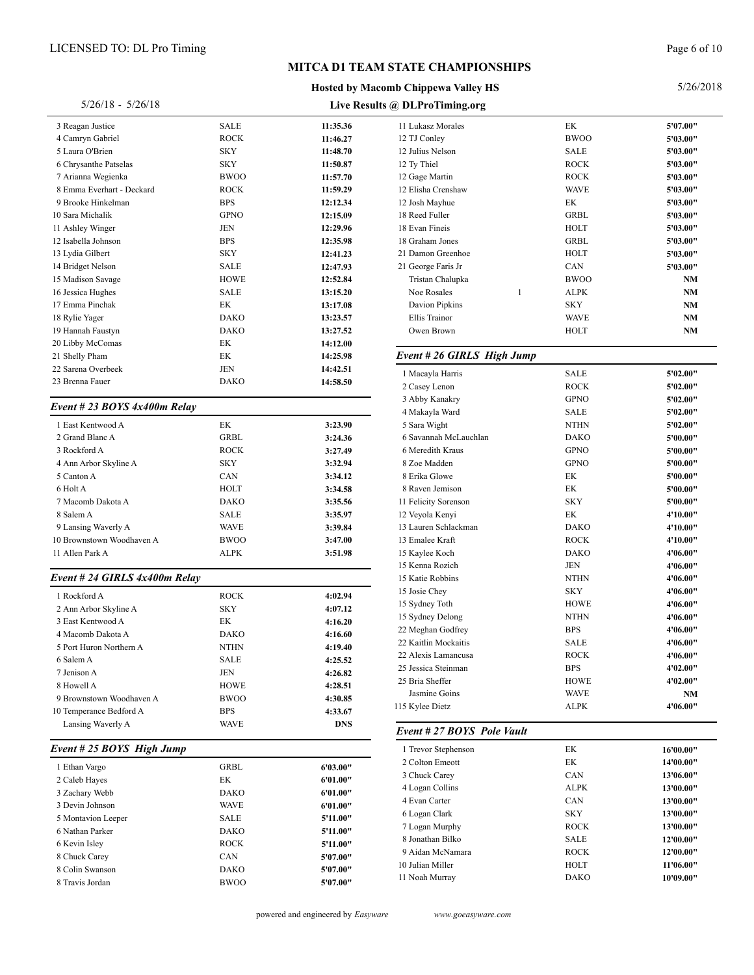#### **Hosted by Macomb Chippewa Valley HS**

#### Page 6 of 10

| <b>SALE</b> | 11:35.36                                                                                                                                                                                                                                                                                                                                                                                                                                                                                                                | 11 Lukasz Morales                                                                                                                                                                                                                                                                                                                                                                                                                                                  |
|-------------|-------------------------------------------------------------------------------------------------------------------------------------------------------------------------------------------------------------------------------------------------------------------------------------------------------------------------------------------------------------------------------------------------------------------------------------------------------------------------------------------------------------------------|--------------------------------------------------------------------------------------------------------------------------------------------------------------------------------------------------------------------------------------------------------------------------------------------------------------------------------------------------------------------------------------------------------------------------------------------------------------------|
| <b>ROCK</b> | 11:46.27                                                                                                                                                                                                                                                                                                                                                                                                                                                                                                                | 12 TJ Conley                                                                                                                                                                                                                                                                                                                                                                                                                                                       |
| SKY         | 11:48.70                                                                                                                                                                                                                                                                                                                                                                                                                                                                                                                | 12 Julius Nelson                                                                                                                                                                                                                                                                                                                                                                                                                                                   |
| SKY         | 11:50.87                                                                                                                                                                                                                                                                                                                                                                                                                                                                                                                | 12 Ty Thiel                                                                                                                                                                                                                                                                                                                                                                                                                                                        |
| <b>BWOO</b> | 11:57.70                                                                                                                                                                                                                                                                                                                                                                                                                                                                                                                | 12 Gage Martin                                                                                                                                                                                                                                                                                                                                                                                                                                                     |
|             | 11:59.29                                                                                                                                                                                                                                                                                                                                                                                                                                                                                                                | 12 Elisha Crenshaw                                                                                                                                                                                                                                                                                                                                                                                                                                                 |
|             | 12:12.34                                                                                                                                                                                                                                                                                                                                                                                                                                                                                                                | 12 Josh Mayhue                                                                                                                                                                                                                                                                                                                                                                                                                                                     |
|             |                                                                                                                                                                                                                                                                                                                                                                                                                                                                                                                         | 18 Reed Fuller                                                                                                                                                                                                                                                                                                                                                                                                                                                     |
|             |                                                                                                                                                                                                                                                                                                                                                                                                                                                                                                                         | 18 Evan Fineis                                                                                                                                                                                                                                                                                                                                                                                                                                                     |
|             |                                                                                                                                                                                                                                                                                                                                                                                                                                                                                                                         | 18 Graham Jones                                                                                                                                                                                                                                                                                                                                                                                                                                                    |
|             |                                                                                                                                                                                                                                                                                                                                                                                                                                                                                                                         | 21 Damon Greenhoe                                                                                                                                                                                                                                                                                                                                                                                                                                                  |
|             |                                                                                                                                                                                                                                                                                                                                                                                                                                                                                                                         | 21 George Faris Jr                                                                                                                                                                                                                                                                                                                                                                                                                                                 |
|             |                                                                                                                                                                                                                                                                                                                                                                                                                                                                                                                         | Tristan Chalupka                                                                                                                                                                                                                                                                                                                                                                                                                                                   |
|             |                                                                                                                                                                                                                                                                                                                                                                                                                                                                                                                         | Noe Rosales                                                                                                                                                                                                                                                                                                                                                                                                                                                        |
|             |                                                                                                                                                                                                                                                                                                                                                                                                                                                                                                                         | Davion Pipkins                                                                                                                                                                                                                                                                                                                                                                                                                                                     |
|             |                                                                                                                                                                                                                                                                                                                                                                                                                                                                                                                         | Ellis Trainor                                                                                                                                                                                                                                                                                                                                                                                                                                                      |
|             |                                                                                                                                                                                                                                                                                                                                                                                                                                                                                                                         | Owen Brown                                                                                                                                                                                                                                                                                                                                                                                                                                                         |
|             |                                                                                                                                                                                                                                                                                                                                                                                                                                                                                                                         | Event # 26 GIRLS 1                                                                                                                                                                                                                                                                                                                                                                                                                                                 |
|             |                                                                                                                                                                                                                                                                                                                                                                                                                                                                                                                         |                                                                                                                                                                                                                                                                                                                                                                                                                                                                    |
|             |                                                                                                                                                                                                                                                                                                                                                                                                                                                                                                                         | 1 Macayla Harris                                                                                                                                                                                                                                                                                                                                                                                                                                                   |
|             |                                                                                                                                                                                                                                                                                                                                                                                                                                                                                                                         | 2 Casey Lenon                                                                                                                                                                                                                                                                                                                                                                                                                                                      |
|             |                                                                                                                                                                                                                                                                                                                                                                                                                                                                                                                         | 3 Abby Kanakry                                                                                                                                                                                                                                                                                                                                                                                                                                                     |
|             |                                                                                                                                                                                                                                                                                                                                                                                                                                                                                                                         | 4 Makayla Ward                                                                                                                                                                                                                                                                                                                                                                                                                                                     |
|             |                                                                                                                                                                                                                                                                                                                                                                                                                                                                                                                         | 5 Sara Wight                                                                                                                                                                                                                                                                                                                                                                                                                                                       |
|             |                                                                                                                                                                                                                                                                                                                                                                                                                                                                                                                         | 6 Savannah McLauchlan                                                                                                                                                                                                                                                                                                                                                                                                                                              |
|             |                                                                                                                                                                                                                                                                                                                                                                                                                                                                                                                         | 6 Meredith Kraus                                                                                                                                                                                                                                                                                                                                                                                                                                                   |
|             |                                                                                                                                                                                                                                                                                                                                                                                                                                                                                                                         | 8 Zoe Madden                                                                                                                                                                                                                                                                                                                                                                                                                                                       |
|             |                                                                                                                                                                                                                                                                                                                                                                                                                                                                                                                         | 8 Erika Glowe                                                                                                                                                                                                                                                                                                                                                                                                                                                      |
|             |                                                                                                                                                                                                                                                                                                                                                                                                                                                                                                                         | 8 Raven Jemison                                                                                                                                                                                                                                                                                                                                                                                                                                                    |
|             |                                                                                                                                                                                                                                                                                                                                                                                                                                                                                                                         | 11 Felicity Sorenson                                                                                                                                                                                                                                                                                                                                                                                                                                               |
|             |                                                                                                                                                                                                                                                                                                                                                                                                                                                                                                                         | 12 Veyola Kenyi                                                                                                                                                                                                                                                                                                                                                                                                                                                    |
|             |                                                                                                                                                                                                                                                                                                                                                                                                                                                                                                                         | 13 Lauren Schlackman                                                                                                                                                                                                                                                                                                                                                                                                                                               |
|             |                                                                                                                                                                                                                                                                                                                                                                                                                                                                                                                         | 13 Emalee Kraft                                                                                                                                                                                                                                                                                                                                                                                                                                                    |
|             |                                                                                                                                                                                                                                                                                                                                                                                                                                                                                                                         | 15 Kaylee Koch                                                                                                                                                                                                                                                                                                                                                                                                                                                     |
|             |                                                                                                                                                                                                                                                                                                                                                                                                                                                                                                                         | 15 Kenna Rozich<br>15 Katie Robbins                                                                                                                                                                                                                                                                                                                                                                                                                                |
|             |                                                                                                                                                                                                                                                                                                                                                                                                                                                                                                                         | 15 Josie Chey                                                                                                                                                                                                                                                                                                                                                                                                                                                      |
|             |                                                                                                                                                                                                                                                                                                                                                                                                                                                                                                                         | 15 Sydney Toth                                                                                                                                                                                                                                                                                                                                                                                                                                                     |
|             |                                                                                                                                                                                                                                                                                                                                                                                                                                                                                                                         | 15 Sydney Delong                                                                                                                                                                                                                                                                                                                                                                                                                                                   |
|             |                                                                                                                                                                                                                                                                                                                                                                                                                                                                                                                         | 22 Meghan Godfrey                                                                                                                                                                                                                                                                                                                                                                                                                                                  |
|             |                                                                                                                                                                                                                                                                                                                                                                                                                                                                                                                         | 22 Kaitlin Mockaitis                                                                                                                                                                                                                                                                                                                                                                                                                                               |
|             |                                                                                                                                                                                                                                                                                                                                                                                                                                                                                                                         | 22 Alexis Lamancusa                                                                                                                                                                                                                                                                                                                                                                                                                                                |
|             |                                                                                                                                                                                                                                                                                                                                                                                                                                                                                                                         | 25 Jessica Steinman                                                                                                                                                                                                                                                                                                                                                                                                                                                |
|             |                                                                                                                                                                                                                                                                                                                                                                                                                                                                                                                         | 25 Bria Sheffer                                                                                                                                                                                                                                                                                                                                                                                                                                                    |
|             |                                                                                                                                                                                                                                                                                                                                                                                                                                                                                                                         | Jasmine Goins                                                                                                                                                                                                                                                                                                                                                                                                                                                      |
|             |                                                                                                                                                                                                                                                                                                                                                                                                                                                                                                                         | 115 Kylee Dietz                                                                                                                                                                                                                                                                                                                                                                                                                                                    |
|             |                                                                                                                                                                                                                                                                                                                                                                                                                                                                                                                         |                                                                                                                                                                                                                                                                                                                                                                                                                                                                    |
|             |                                                                                                                                                                                                                                                                                                                                                                                                                                                                                                                         | Event # 27 BOYS $P_0$                                                                                                                                                                                                                                                                                                                                                                                                                                              |
|             |                                                                                                                                                                                                                                                                                                                                                                                                                                                                                                                         | 1 Trevor Stephenson                                                                                                                                                                                                                                                                                                                                                                                                                                                |
|             |                                                                                                                                                                                                                                                                                                                                                                                                                                                                                                                         | 2 Colton Emeott                                                                                                                                                                                                                                                                                                                                                                                                                                                    |
| EК          | 6'01.00"                                                                                                                                                                                                                                                                                                                                                                                                                                                                                                                | 3 Chuck Carey                                                                                                                                                                                                                                                                                                                                                                                                                                                      |
| <b>DAKO</b> |                                                                                                                                                                                                                                                                                                                                                                                                                                                                                                                         | 4 Logan Collins                                                                                                                                                                                                                                                                                                                                                                                                                                                    |
| <b>WAVE</b> |                                                                                                                                                                                                                                                                                                                                                                                                                                                                                                                         | 4 Evan Carter                                                                                                                                                                                                                                                                                                                                                                                                                                                      |
| SALE        | 5'11.00"                                                                                                                                                                                                                                                                                                                                                                                                                                                                                                                | 6 Logan Clark                                                                                                                                                                                                                                                                                                                                                                                                                                                      |
|             |                                                                                                                                                                                                                                                                                                                                                                                                                                                                                                                         | 7 Logan Murphy                                                                                                                                                                                                                                                                                                                                                                                                                                                     |
| <b>ROCK</b> | 5'11.00"                                                                                                                                                                                                                                                                                                                                                                                                                                                                                                                | 8 Jonathan Bilko                                                                                                                                                                                                                                                                                                                                                                                                                                                   |
|             |                                                                                                                                                                                                                                                                                                                                                                                                                                                                                                                         | 9 Aidan McNamara                                                                                                                                                                                                                                                                                                                                                                                                                                                   |
| CAN         |                                                                                                                                                                                                                                                                                                                                                                                                                                                                                                                         |                                                                                                                                                                                                                                                                                                                                                                                                                                                                    |
| DAKO        | 5'07.00"<br>5'07.00"                                                                                                                                                                                                                                                                                                                                                                                                                                                                                                    | 10 Julian Miller                                                                                                                                                                                                                                                                                                                                                                                                                                                   |
|             | ROCK<br><b>BPS</b><br><b>GPNO</b><br>JEN<br><b>BPS</b><br><b>SKY</b><br><b>SALE</b><br><b>HOWE</b><br><b>SALE</b><br>EК<br>DAKO<br>DAKO<br>EК<br>EК<br>JEN<br><b>DAKO</b><br>Event # 23 BOYS $4x400m$ Relay<br>EК<br>GRBL<br><b>ROCK</b><br>SKY<br>CAN<br>HOLT<br><b>DAKO</b><br><b>SALE</b><br><b>WAVE</b><br><b>BWOO</b><br><b>ALPK</b><br>Event # 24 GIRLS 4x400m Relay<br><b>ROCK</b><br><b>SKY</b><br>EК<br>DAKO<br>NTHN<br>SALE<br>JEN<br><b>HOWE</b><br><b>BWOO</b><br><b>BPS</b><br><b>WAVE</b><br>GRBL<br>DAKO | 12:15.09<br>12:29.96<br>12:35.98<br>12:41.23<br>12:47.93<br>12:52.84<br>13:15.20<br>13:17.08<br>13:23.57<br>13:27.52<br>14:12.00<br>14:25.98<br>14:42.51<br>14:58.50<br>3:23.90<br>3:24.36<br>3:27.49<br>3:32.94<br>3:34.12<br>3:34.58<br>3:35.56<br>3:35.97<br>3:39.84<br>3:47.00<br>3:51.98<br>4:02.94<br>4:07.12<br>4:16.20<br>4:16.60<br>4:19.40<br>4:25.52<br>4:26.82<br>4:28.51<br>4:30.85<br>4:33.67<br>DNS<br>6'03.00"<br>6'01.00"<br>6'01.00"<br>5'11.00" |

| 11 Lukasz Morales          | EК          | 5'07.00"  |
|----------------------------|-------------|-----------|
| 12 TJ Conley               | <b>BWOO</b> | 5'03.00"  |
| 12 Julius Nelson           | SALE        | 5'03.00"  |
| 12 Ty Thiel                | <b>ROCK</b> | 5'03.00"  |
| 12 Gage Martin             | <b>ROCK</b> | 5'03.00"  |
| 12 Elisha Crenshaw         | <b>WAVE</b> | 5'03.00"  |
| 12 Josh Mayhue             | EK          | 5'03.00"  |
| 18 Reed Fuller             | <b>GRBL</b> | 5'03.00"  |
| 18 Evan Fineis             | HOLT        | 5'03.00"  |
| 18 Graham Jones            | GRBL        | 5'03.00"  |
| 21 Damon Greenhoe          | HOLT        | 5'03.00"  |
| 21 George Faris Jr         | CAN         | 5'03.00"  |
| Tristan Chalupka           | <b>BWOO</b> | NM        |
| Noe Rosales<br>1           | ALPK        | NM        |
| Davion Pipkins             | SKY         | NM        |
| Ellis Trainor              | WAVE        | NΜ        |
| Owen Brown                 | HOLT        | NΜ        |
| Event # 26 GIRLS High Jump |             |           |
| 1 Macayla Harris           | <b>SALE</b> | 5'02.00"  |
| 2 Casey Lenon              | <b>ROCK</b> | 5'02.00"  |
| 3 Abby Kanakry             | GPNO        | 5'02.00"  |
| 4 Makayla Ward             | <b>SALE</b> | 5'02.00"  |
| 5 Sara Wight               | <b>NTHN</b> | 5'02.00"  |
| 6 Savannah McLauchlan      | <b>DAKO</b> | 5'00.00"  |
| 6 Meredith Kraus           | <b>GPNO</b> | 5'00.00"  |
| 8 Zoe Madden               | <b>GPNO</b> | 5'00.00"  |
| 8 Erika Glowe              | EК          | 5'00.00"  |
| 8 Raven Jemison            | EК          | 5'00.00"  |
| 11 Felicity Sorenson       | <b>SKY</b>  | 5'00.00"  |
| 12 Veyola Kenyi            | EK          | 4'10.00"  |
| 13 Lauren Schlackman       | <b>DAKO</b> | 4'10.00"  |
| 13 Emalee Kraft            | <b>ROCK</b> | 4'10.00"  |
| 15 Kaylee Koch             | <b>DAKO</b> | 4'06.00"  |
| 15 Kenna Rozich            | JEN         | 4'06.00"  |
| 15 Katie Robbins           | <b>NTHN</b> | 4'06.00"  |
| 15 Josie Chey              | <b>SKY</b>  | 4'06.00"  |
| 15 Sydney Toth             | HOWE        | 4'06.00"  |
| 15 Sydney Delong           | <b>NTHN</b> | 4'06.00"  |
| 22 Meghan Godfrey          | <b>BPS</b>  | 4'06.00"  |
| 22 Kaitlin Mockaitis       | SALE        | 4'06.00"  |
| 22 Alexis Lamancusa        | <b>ROCK</b> | 4'06.00"  |
| 25 Jessica Steinman        | <b>BPS</b>  | 4'02.00"  |
| 25 Bria Sheffer            | HOWE        | 4'02.00"  |
| Jasmine Goins              | <b>WAVE</b> | NM        |
| 115 Kylee Dietz            | <b>ALPK</b> | 4'06.00"  |
| Event # 27 BOYS Pole Vault |             |           |
| 1 Trevor Stephenson        | EК          | 16'00.00" |
| 2 Colton Emeott            | EK          | 14'00.00" |
| 3 Chuck Carey              | CAN         | 13'06.00" |
| 4 Logan Collins            | <b>ALPK</b> | 13'00.00" |
| 4 Evan Carter              | CAN         | 13'00.00" |
| 6 Logan Clark              | SKY         | 13'00.00" |
| 7 Logan Murphy             | <b>ROCK</b> | 13'00.00" |
| 8 Jonathan Bilko           | SALE        | 12'00.00" |
|                            | <b>ROCK</b> | 12'00.00" |
| 9 Aidan McNamara           |             |           |
| 10 Julian Miller           | HOLT        | 11'06.00" |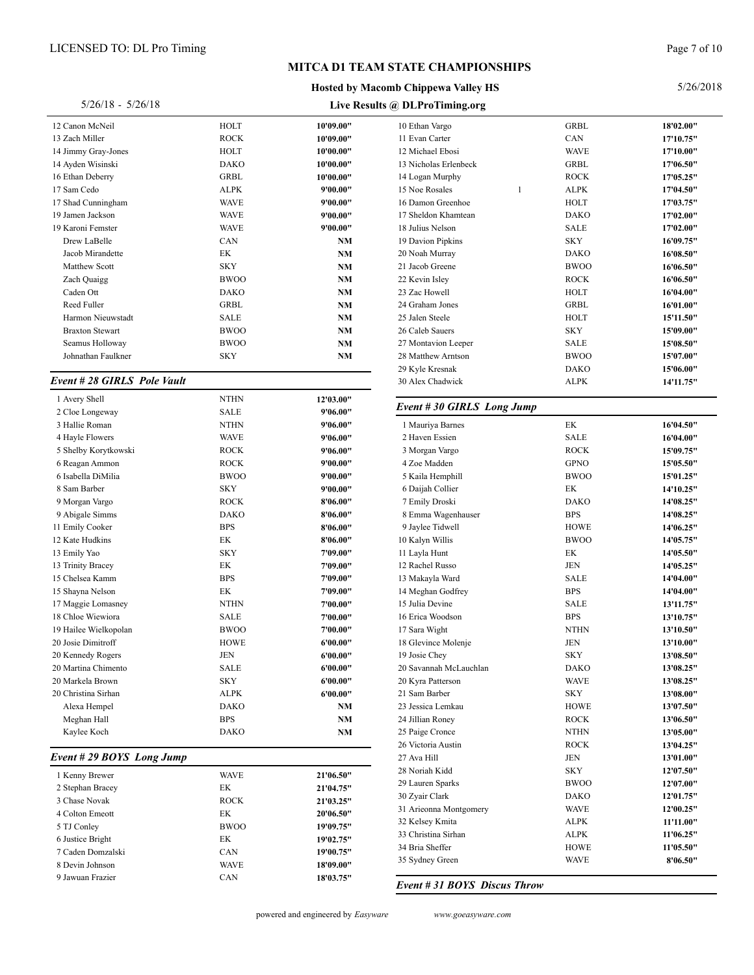#### **Hosted by Macomb Chippewa Valley HS**

Page 7 of 10

| $5/26/18 - 5/26/18$               |             | Live Results @ DLProTiming.org |                        |  |
|-----------------------------------|-------------|--------------------------------|------------------------|--|
| 12 Canon McNeil                   | HOLT        | 10'09.00"                      | 10 Ethan Vargo         |  |
| 13 Zach Miller                    | <b>ROCK</b> | 10'09.00"                      | 11 Evan Carter         |  |
| 14 Jimmy Gray-Jones               | HOLT        | 10'00.00"                      | 12 Michael Ebosi       |  |
| 14 Ayden Wisinski                 | <b>DAKO</b> | 10'00.00"                      | 13 Nicholas Erlenbeck  |  |
| 16 Ethan Deberry                  | <b>GRBL</b> | 10'00.00"                      | 14 Logan Murphy        |  |
| 17 Sam Cedo                       | <b>ALPK</b> | 9'00.00"                       | 15 Noe Rosales         |  |
| 17 Shad Cunningham                | <b>WAVE</b> | 9'00.00"                       | 16 Damon Greenhoe      |  |
| 19 Jamen Jackson                  | <b>WAVE</b> | 9'00.00"                       | 17 Sheldon Khamtean    |  |
| 19 Karoni Femster                 | <b>WAVE</b> | 9'00.00"                       | 18 Julius Nelson       |  |
| Drew LaBelle                      | CAN         | NМ                             | 19 Davion Pipkins      |  |
| Jacob Mirandette                  | EK          | NM                             | 20 Noah Murray         |  |
| Matthew Scott                     | <b>SKY</b>  | NΜ                             | 21 Jacob Greene        |  |
| Zach Quaigg                       | <b>BWOO</b> | NM                             | 22 Kevin Isley         |  |
| Caden Ott                         | <b>DAKO</b> | NM                             | 23 Zac Howell          |  |
| Reed Fuller                       | <b>GRBL</b> | NM                             | 24 Graham Jones        |  |
| Harmon Nieuwstadt                 | <b>SALE</b> | NM                             | 25 Jalen Steele        |  |
| <b>Braxton Stewart</b>            | <b>BWOO</b> | NM                             | 26 Caleb Sauers        |  |
| Seamus Holloway                   | <b>BWOO</b> | NM                             | 27 Montavion Leeper    |  |
| Johnathan Faulkner                | <b>SKY</b>  | NM                             | 28 Matthew Arntson     |  |
|                                   |             |                                | 29 Kyle Kresnak        |  |
| Event # 28 GIRLS Pole Vault       |             |                                | 30 Alex Chadwick       |  |
| 1 Avery Shell                     | <b>NTHN</b> | 12'03.00"                      |                        |  |
| 2 Cloe Longeway                   | <b>SALE</b> | 9'06.00"                       | Event #30 GIRLS Long   |  |
| 3 Hallie Roman                    | <b>NTHN</b> | 9'06.00"                       | 1 Mauriya Barnes       |  |
| 4 Hayle Flowers                   | <b>WAVE</b> | 9'06.00"                       | 2 Haven Essien         |  |
| 5 Shelby Korytkowski              | ROCK        | 9'06.00"                       | 3 Morgan Vargo         |  |
| 6 Reagan Ammon                    | ROCK        | 9'00.00"                       | 4 Zoe Madden           |  |
| 6 Isabella DiMilia                | <b>BWOO</b> | 9'00.00"                       | 5 Kaila Hemphill       |  |
| 8 Sam Barber                      | <b>SKY</b>  | 9'00.00"                       | 6 Daijah Collier       |  |
| 9 Morgan Vargo                    | ROCK        | 8'06.00"                       | 7 Emily Droski         |  |
| 9 Abigale Simms                   | <b>DAKO</b> | 8'06.00"                       | 8 Emma Wagenhauser     |  |
| 11 Emily Cooker                   | <b>BPS</b>  | 8'06.00"                       | 9 Jaylee Tidwell       |  |
| 12 Kate Hudkins                   | EK          | 8'06.00"                       | 10 Kalyn Willis        |  |
| 13 Emily Yao                      | <b>SKY</b>  | 7'09.00"                       | 11 Layla Hunt          |  |
| 13 Trinity Bracey                 | EK          | 7'09.00"                       | 12 Rachel Russo        |  |
| 15 Chelsea Kamm                   | <b>BPS</b>  | 7'09.00"                       | 13 Makayla Ward        |  |
| 15 Shayna Nelson                  | EK          | 7'09.00"                       | 14 Meghan Godfrey      |  |
| 17 Maggie Lomasney                | <b>NTHN</b> | 7'00.00"                       | 15 Julia Devine        |  |
| 18 Chloe Wiewiora                 | SALE        | 7'00.00"                       | 16 Erica Woodson       |  |
| 19 Hailee Wielkopolan             | <b>BWOO</b> | 7'00.00"                       | 17 Sara Wight          |  |
| 20 Josie Dimitroff                | HOWE        | 6'00.00"                       | 18 Glevince Molenje    |  |
| 20 Kennedy Rogers                 | JEN         | 6'00.00"                       | 19 Josie Chey          |  |
| 20 Martina Chimento               | SALE        | 6'00.00"                       | 20 Savannah McLauchlan |  |
| 20 Markela Brown                  | SKY         | 6'00.00"                       | 20 Kyra Patterson      |  |
| 20 Christina Sirhan               | ALPK        | 6'00.00"                       | 21 Sam Barber          |  |
| Alexa Hempel                      | DAKO        | NM                             | 23 Jessica Lemkau      |  |
| Meghan Hall                       | <b>BPS</b>  | NM                             | 24 Jillian Roney       |  |
| Kaylee Koch                       | DAKO        | NM                             | 25 Paige Cronce        |  |
|                                   |             |                                | 26 Victoria Austin     |  |
| Event # 29 BOYS Long Jump         |             |                                | 27 Ava Hill            |  |
|                                   | <b>WAVE</b> |                                | 28 Noriah Kidd         |  |
| 1 Kenny Brewer                    | EΚ          | 21'06.50"                      | 29 Lauren Sparks       |  |
| 2 Stephan Bracey<br>3 Chase Novak |             | 21'04.75"                      | 30 Zyair Clark         |  |
|                                   | <b>ROCK</b> | 21'03.25"                      | 31 Arieonna Montgomery |  |
| 4 Colton Emeott                   | EK          | 20'06.50"                      | 32 Kelsey Kmita        |  |
| 5 TJ Conley                       | <b>BWOO</b> | 19'09.75"                      | 33 Christina Sirhan    |  |
| 6 Justice Bright                  | EК          | 19'02.75"                      |                        |  |

 Caden Domzalski CAN **19'00.75"** Devin Johnson WAVE **18'09.00"** Jawuan Frazier CAN **18'03.75"**

| 10 Ethan Vargo                         | GRBL         | 18'02.00"              |
|----------------------------------------|--------------|------------------------|
| 11 Evan Carter                         | CAN          | 17'10.75"              |
| 12 Michael Ebosi                       | <b>WAVE</b>  | 17'10.00"              |
| 13 Nicholas Erlenbeck                  | GRBL         | 17'06.50"              |
| 14 Logan Murphy                        | <b>ROCK</b>  | 17'05.25"              |
| 15 Noe Rosales<br>1                    | ALPK         | 17'04.50"              |
| 16 Damon Greenhoe                      | HOLT         | 17'03.75"              |
| 17 Sheldon Khamtean                    | DAKO         | 17'02.00"              |
| 18 Julius Nelson                       | SALE         | 17'02.00"              |
| 19 Davion Pipkins                      | <b>SKY</b>   | 16'09.75"              |
| 20 Noah Murray                         | DAKO         | 16'08.50"              |
| 21 Jacob Greene                        | <b>BWOO</b>  | 16'06.50"              |
| 22 Kevin Isley                         | <b>ROCK</b>  | 16'06.50"              |
| 23 Zac Howell                          | HOLT         | 16'04.00"              |
| 24 Graham Jones                        | GRBL         | 16'01.00"              |
| 25 Jalen Steele                        | HOLT         | 15'11.50"              |
| 26 Caleb Sauers                        | SKY          | 15'09.00"              |
| 27 Montavion Leeper                    | SALE         | 15'08.50"              |
| 28 Matthew Arntson                     | <b>BWOO</b>  | 15'07.00"              |
| 29 Kyle Kresnak                        | DAKO         | 15'06.00"              |
| 30 Alex Chadwick                       | ALPK         | 14'11.75"              |
| Event # 30 GIRLS Long Jump             |              |                        |
| 1 Mauriya Barnes                       | EK           | 16'04.50"              |
| 2 Haven Essien                         | SALE         | 16'04.00"              |
| 3 Morgan Vargo                         | ROCK         | 15'09.75"              |
| 4 Zoe Madden                           | <b>GPNO</b>  | 15'05.50"              |
| 5 Kaila Hemphill                       | <b>BWOO</b>  | 15'01.25"              |
| 6 Daijah Collier                       | EK           | 14'10.25"              |
| 7 Emily Droski                         | DAKO         | 14'08.25"              |
| 8 Emma Wagenhauser                     | <b>BPS</b>   | 14'08.25"              |
| 9 Jaylee Tidwell                       | HOWE         | 14'06.25"              |
| 10 Kalyn Willis                        | <b>BWOO</b>  | 14'05.75"              |
| 11 Layla Hunt                          | EК           | 14'05.50"              |
| 12 Rachel Russo                        | JEN          | 14'05.25"              |
| 13 Makayla Ward                        | SALE         | 14'04.00"              |
| 14 Meghan Godfrey                      | BPS          | 14'04.00"              |
| 15 Julia Devine                        | SALE         | 13'11.75"              |
| 16 Erica Woodson                       | <b>BPS</b>   | 13'10.75"              |
| 17 Sara Wight                          | <b>NTHN</b>  | 13'10.50"              |
| 18 Glevince Molenje                    | JEN          | 13'10.00"              |
| 19 Josie Chey                          | <b>SKY</b>   | 13'08.50"              |
| 20 Savannah McLauchlan                 | DAKO         | 13'08.25"              |
| 20 Kyra Patterson                      | WAVE         | 13'08.25"              |
| 21 Sam Barber                          | SKY          | 13'08.00"              |
| 23 Jessica Lemkau                      | <b>HOWE</b>  | 13'07.50"              |
| 24 Jillian Roney                       | <b>ROCK</b>  | 13'06.50"              |
| 25 Paige Cronce                        | NTHN         | 13'05.00"<br>13'04.25" |
|                                        |              |                        |
| 26 Victoria Austin                     | <b>ROCK</b>  |                        |
| 27 Ava Hill                            | JEN          | 13'01.00"              |
| 28 Noriah Kidd                         | SKY          | 12'07.50"              |
| 29 Lauren Sparks                       | BWOO         | 12'07.00"              |
| 30 Zyair Clark                         | DAKO         | 12'01.75"              |
| 31 Arieonna Montgomery                 | WAVE         | 12'00.25"              |
| 32 Kelsey Kmita                        | ALPK         | 11'11.00"              |
| 33 Christina Sirhan<br>34 Bria Sheffer | ALPK<br>HOWE | 11'06.25"<br>11'05.50" |

*Event # 31 BOYS Discus Throw*

powered and engineered by *Easyware www.goeasyware.com*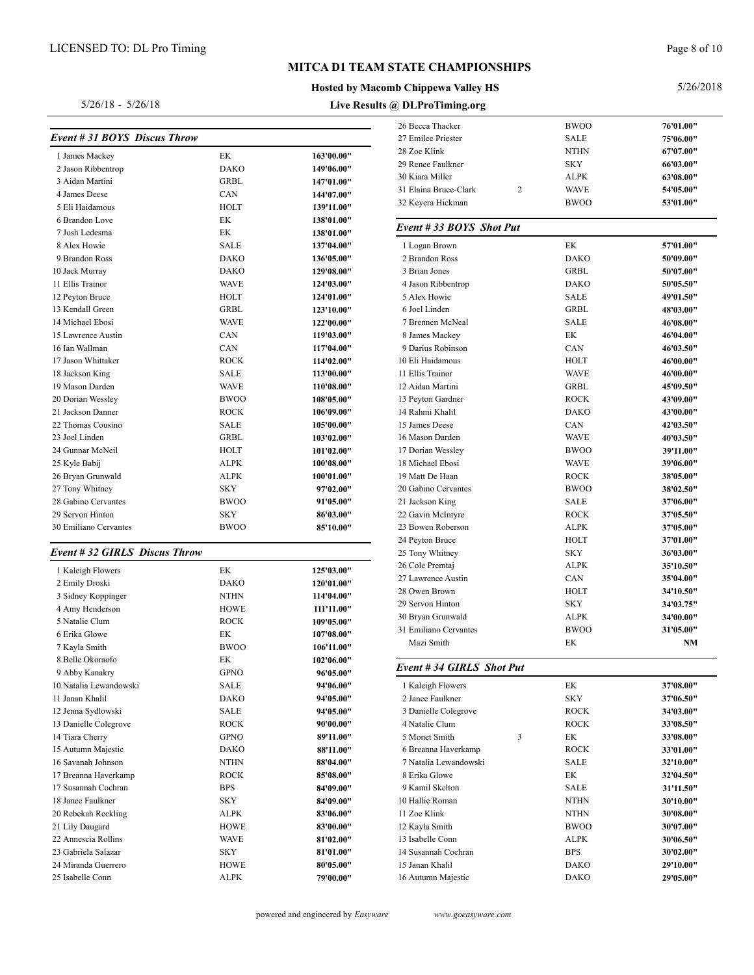5/26/18 - 5/26/18

### **MITCA D1 TEAM STATE CHAMPIONSHIPS**

#### **Hosted by Macomb Chippewa Valley HS**

**Live Results @ DLProTiming.org**

#### 5/26/2018

| Event # 31 BOYS Discus Throw  |             |            | 26 Becca Tha<br>27 Emilee Pr |
|-------------------------------|-------------|------------|------------------------------|
|                               |             |            | 28 Zoe Klink                 |
| 1 James Mackey                | EK          | 163'00.00" | 29 Renee Fau                 |
| 2 Jason Ribbentrop            | <b>DAKO</b> | 149'06.00" | 30 Kiara Mil                 |
| 3 Aidan Martini               | <b>GRBL</b> | 147'01.00" | 31 Elaina Bri                |
| 4 James Deese                 | CAN         | 144'07.00" | 32 Keyera H                  |
| 5 Eli Haidamous               | <b>HOLT</b> | 139'11.00" |                              |
| 6 Brandon Love                | EK          | 138'01.00" | Event # 33                   |
| 7 Josh Ledesma                | EK          | 138'01.00" |                              |
| 8 Alex Howie                  | <b>SALE</b> | 137'04.00" | 1 Logan Bro                  |
| 9 Brandon Ross                | DAKO        | 136'05.00" | 2 Brandon I                  |
| 10 Jack Murray                | DAKO        | 129'08.00" | 3 Brian Jon                  |
| 11 Ellis Trainor              | <b>WAVE</b> | 124'03.00" | 4 Jason Rib                  |
| 12 Peyton Bruce               | HOLT        | 124'01.00" | 5 Alex How                   |
| 13 Kendall Green              | <b>GRBL</b> | 123'10.00" | 6 Joel Linde                 |
| 14 Michael Ebosi              | <b>WAVE</b> | 122'00.00" | 7 Brennen N                  |
| 15 Lawrence Austin            | CAN         | 119'03.00" | 8 James Ma                   |
| 16 Ian Wallman                | CAN         | 117'04.00" | 9 Darius Ro                  |
| 17 Jason Whittaker            | <b>ROCK</b> | 114'02.00" | 10 Eli Haida                 |
| 18 Jackson King               | SALE        | 113'00.00" | 11 Ellis Trair               |
| 19 Mason Darden               | <b>WAVE</b> | 110'08.00" | 12 Aidan Ma                  |
| 20 Dorian Wessley             | <b>BWOO</b> | 108'05.00" | 13 Peyton Ga                 |
| 21 Jackson Danner             | <b>ROCK</b> | 106'09.00" | 14 Rahmi Kh                  |
| 22 Thomas Cousino             | SALE        | 105'00.00" | 15 James De                  |
| 23 Joel Linden                | <b>GRBL</b> | 103'02.00" | 16 Mason Da                  |
| 24 Gunnar McNeil              | HOLT        | 101'02.00" | 17 Dorian W                  |
| 25 Kyle Babij                 | <b>ALPK</b> | 100'08.00" | 18 Michael E                 |
| 26 Bryan Grunwald             | <b>ALPK</b> | 100'01.00" | 19 Matt De F                 |
| 27 Tony Whitney               | <b>SKY</b>  | 97'02.00"  | 20 Gabino Co                 |
| 28 Gabino Cervantes           | <b>BWOO</b> | 91'05.00"  | 21 Jackson K                 |
| 29 Servon Hinton              | <b>SKY</b>  | 86'03.00"  | 22 Gavin Mc                  |
| 30 Emiliano Cervantes         | <b>BWOO</b> | 85'10.00"  | 23 Bowen Ro                  |
|                               |             |            | 24 Peyton Br                 |
| Event # 32 GIRLS Discus Throw |             |            | 25 Tony Whi                  |
| 1 Kaleigh Flowers             | EK          | 125'03.00" | 26 Cole Pren                 |
| 2 Emily Droski                | <b>DAKO</b> | 120'01.00" | 27 Lawrence                  |
| 3 Sidney Koppinger            | NTHN        | 114'04.00" | 28 Owen Bro                  |
| 4 Amy Henderson               | <b>HOWE</b> | 111'11.00" | 29 Servon Hi                 |
| 5 Natalie Clum                | <b>ROCK</b> | 109'05.00" | 30 Bryan Gru                 |
| 6 Erika Glowe                 | EK          | 107'08.00" | 31 Emiliano                  |
| 7 Kayla Smith                 | <b>BWOO</b> | 106'11.00" | Mazi Smi                     |
| 8 Belle Okoraofo              | EK          | 102'06.00" |                              |
| 9 Abby Kanakry                | <b>GPNO</b> | 96'05.00"  | Event #34                    |
| 10 Natalia Lewandowski        | <b>SALE</b> | 94'06.00"  | 1 Kaleigh F                  |
| 11 Janan Khalil               | DAKO        | 94'05.00"  | 2 Janee Fau                  |

 Jenna Sydlowski SALE **94'05.00"** Danielle Colegrove ROCK **90'00.00"** Tiara Cherry GPNO **89'11.00"** Autumn Majestic DAKO **88'11.00"** Savanah Johnson NTHN **88'04.00"** Breanna Haverkamp ROCK **85'08.00"** Susannah Cochran BPS **84'09.00"** Janee Faulkner SKY **84'09.00"** Rebekah Reckling ALPK **83'06.00"** Lily Daugard HOWE **83'00.00"** Annescia Rollins WAVE **81'02.00"** Gabriela Salazar SKY **81'01.00"** Miranda Guerrero HOWE **80'05.00"** Isabelle Conn ALPK **79'00.00"**

| 27 Emilee Priester                    | SALE        | 75'06.00" |
|---------------------------------------|-------------|-----------|
| 28 Zoe Klink                          | <b>NTHN</b> | 67'07.00" |
| 29 Renee Faulkner                     | <b>SKY</b>  | 66'03.00" |
| 30 Kiara Miller                       | ALPK        | 63'08.00" |
| 31 Elaina Bruce-Clark<br>2            | WAVE        | 54'05.00" |
| 32 Keyera Hickman                     | <b>BWOO</b> | 53'01.00" |
| Event #33 BOYS Shot Put               |             |           |
| 1 Logan Brown                         | EK          | 57'01.00" |
| 2 Brandon Ross                        | <b>DAKO</b> | 50'09.00" |
| 3 Brian Jones                         | <b>GRBL</b> | 50'07.00" |
| 4 Jason Ribbentrop                    | <b>DAKO</b> | 50'05.50" |
| 5 Alex Howie                          | SALE        | 49'01.50" |
| 6 Joel Linden                         | GRBL        | 48'03.00" |
| 7 Brennen McNeal                      | <b>SALE</b> | 46'08.00" |
| 8 James Mackey                        | EK          | 46'04.00" |
| 9 Darius Robinson                     | CAN         | 46'03.50" |
| 10 Eli Haidamous                      | HOLT        | 46'00.00" |
| 11 Ellis Trainor                      | WAVE        | 46'00.00" |
| 12 Aidan Martini                      | GRBL        | 45'09.50" |
| 13 Peyton Gardner                     | <b>ROCK</b> | 43'09.00" |
| 14 Rahmi Khalil                       | DAKO        | 43'00.00" |
| 15 James Deese                        | CAN         | 42'03.50" |
| 16 Mason Darden                       | WAVE        | 40'03.50" |
| 17 Dorian Wessley                     | <b>BWOO</b> | 39'11.00" |
| 18 Michael Ebosi                      | WAVE        | 39'06.00" |
| 19 Matt De Haan                       | <b>ROCK</b> | 38'05.00" |
| 20 Gabino Cervantes                   | <b>BWOO</b> | 38'02.50" |
| 21 Jackson King                       | SALE        | 37'06.00" |
| 22 Gavin McIntyre                     | <b>ROCK</b> | 37'05.50" |
| 23 Bowen Roberson                     | ALPK        | 37'05.00" |
| 24 Peyton Bruce                       | HOLT        | 37'01.00" |
| 25 Tony Whitney                       | SKY         | 36'03.00" |
| 26 Cole Premtaj                       | ALPK        | 35'10.50" |
| 27 Lawrence Austin                    | CAN         | 35'04.00" |
| 28 Owen Brown                         | HOLT        | 34'10.50" |
| 29 Servon Hinton                      | SKY         | 34'03.75" |
| 30 Bryan Grunwald                     | ALPK        | 34'00.00" |
| 31 Emiliano Cervantes                 | <b>BWOO</b> | 31'05.00" |
| Mazi Smith                            | EК          | NΜ        |
|                                       |             |           |
| Event #34 GIRLS Shot Put              |             |           |
| 1 Kaleigh Flowers                     | EК          | 37'08.00" |
| 2 Janee Faulkner                      | SKY         | 37'06.50" |
| 3 Danielle Colegrove                  | ROCK        | 34'03.00" |
| 4 Natalie Clum                        | <b>ROCK</b> | 33'08.50" |
| 5 Monet Smith<br>3                    | EK          | 33'08.00" |
| 6 Breanna Haverkamp                   | ROCK        | 33'01.00" |
| 7 Natalia Lewandowski                 | SALE        | 32'10.00" |
| 8 Erika Glowe                         | EK          | 32'04.50" |
|                                       |             | 31'11.50" |
| 9 Kamil Skelton                       | SALE        |           |
| 10 Hallie Roman                       | NTHN        | 30'10.00" |
| 11 Zoe Klink                          | NTHN        | 30'08.00" |
|                                       | <b>BWOO</b> | 30'07.00" |
| 13 Isabelle Conn                      | ALPK        | 30'06.50" |
| 12 Kayla Smith<br>14 Susannah Cochran | BPS         | 30'02.00" |
| 15 Janan Khalil                       | DAKO        | 29'10.00" |

Becca Thacker BWOO **76'01.00"**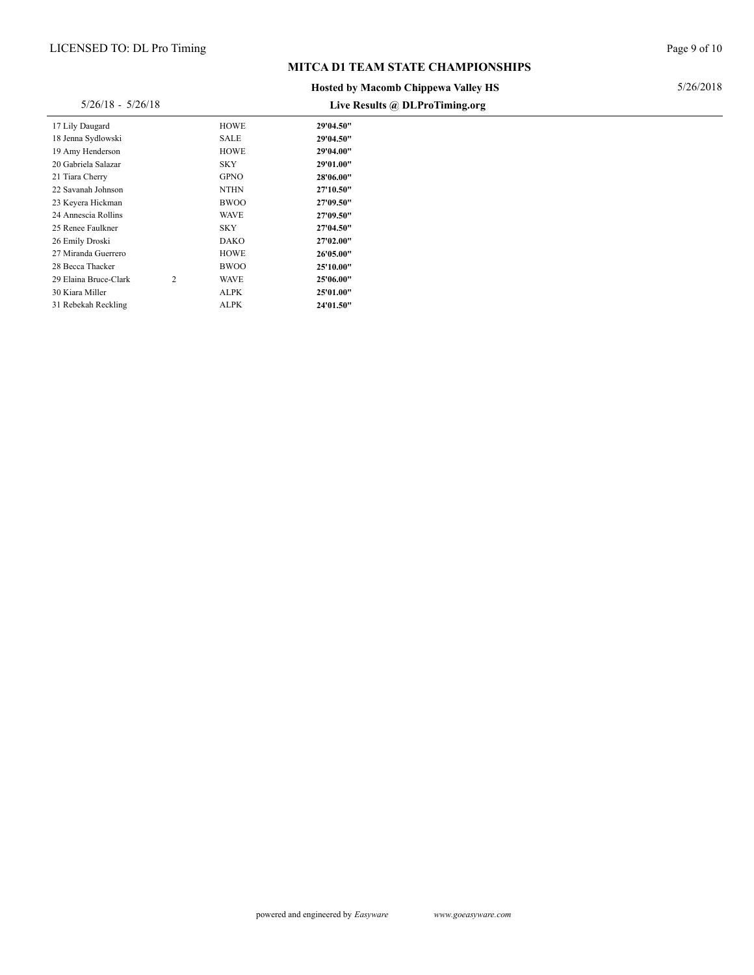#### **Hosted by Macomb Chippewa Valley HS**

### Live **Posults @ DL ProTiming**

| $5/26/18 - 5/26/18$   |   |             | Live Results @ DLProTiming.org |
|-----------------------|---|-------------|--------------------------------|
| 17 Lily Daugard       |   | <b>HOWE</b> | 29'04.50"                      |
| 18 Jenna Sydlowski    |   | SALE        | 29'04.50"                      |
| 19 Amy Henderson      |   | HOWE        | 29'04.00"                      |
| 20 Gabriela Salazar   |   | <b>SKY</b>  | 29'01.00"                      |
| 21 Tiara Cherry       |   | <b>GPNO</b> | 28'06.00"                      |
| 22 Savanah Johnson    |   | <b>NTHN</b> | 27'10.50"                      |
| 23 Keyera Hickman     |   | <b>BWOO</b> | 27'09.50"                      |
| 24 Annescia Rollins   |   | <b>WAVE</b> | 27'09.50"                      |
| 25 Renee Faulkner     |   | <b>SKY</b>  | 27'04.50"                      |
| 26 Emily Droski       |   | DAKO        | 27'02.00"                      |
| 27 Miranda Guerrero   |   | <b>HOWE</b> | 26'05.00"                      |
| 28 Becca Thacker      |   | <b>BWOO</b> | 25'10.00"                      |
| 29 Elaina Bruce-Clark | 2 | <b>WAVE</b> | 25'06.00"                      |
| 30 Kiara Miller       |   | <b>ALPK</b> | 25'01.00"                      |
| 31 Rebekah Reckling   |   | ALPK        | 24'01.50"                      |

Page 9 of 10